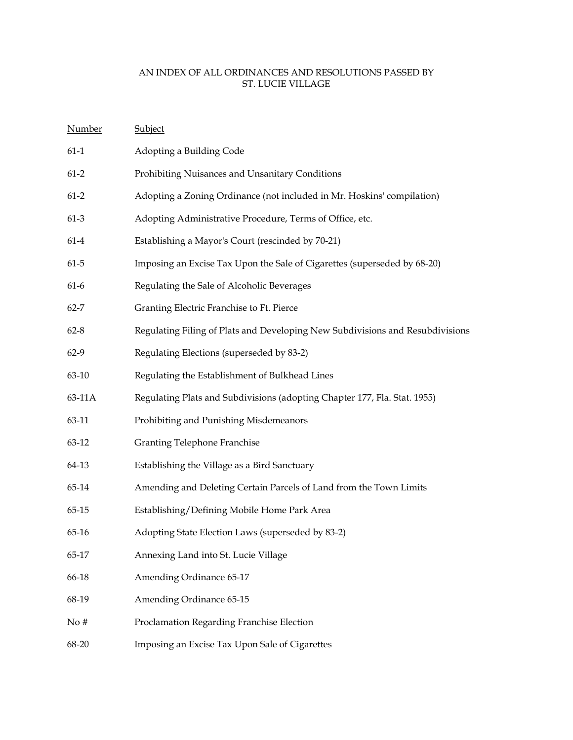| Number   | Subject                                                                       |
|----------|-------------------------------------------------------------------------------|
| $61-1$   | Adopting a Building Code                                                      |
| $61-2$   | Prohibiting Nuisances and Unsanitary Conditions                               |
| $61-2$   | Adopting a Zoning Ordinance (not included in Mr. Hoskins' compilation)        |
| $61-3$   | Adopting Administrative Procedure, Terms of Office, etc.                      |
| $61-4$   | Establishing a Mayor's Court (rescinded by 70-21)                             |
| $61 - 5$ | Imposing an Excise Tax Upon the Sale of Cigarettes (superseded by 68-20)      |
| $61-6$   | Regulating the Sale of Alcoholic Beverages                                    |
| $62 - 7$ | Granting Electric Franchise to Ft. Pierce                                     |
| $62 - 8$ | Regulating Filing of Plats and Developing New Subdivisions and Resubdivisions |
| $62-9$   | Regulating Elections (superseded by 83-2)                                     |
| 63-10    | Regulating the Establishment of Bulkhead Lines                                |
| 63-11A   | Regulating Plats and Subdivisions (adopting Chapter 177, Fla. Stat. 1955)     |
| 63-11    | Prohibiting and Punishing Misdemeanors                                        |
| 63-12    | <b>Granting Telephone Franchise</b>                                           |
| 64-13    | Establishing the Village as a Bird Sanctuary                                  |
| 65-14    | Amending and Deleting Certain Parcels of Land from the Town Limits            |
| 65-15    | Establishing/Defining Mobile Home Park Area                                   |
| 65-16    | Adopting State Election Laws (superseded by 83-2)                             |
| 65-17    | Annexing Land into St. Lucie Village                                          |
| 66-18    | Amending Ordinance 65-17                                                      |
| 68-19    | Amending Ordinance 65-15                                                      |
| No#      | Proclamation Regarding Franchise Election                                     |
| 68-20    | Imposing an Excise Tax Upon Sale of Cigarettes                                |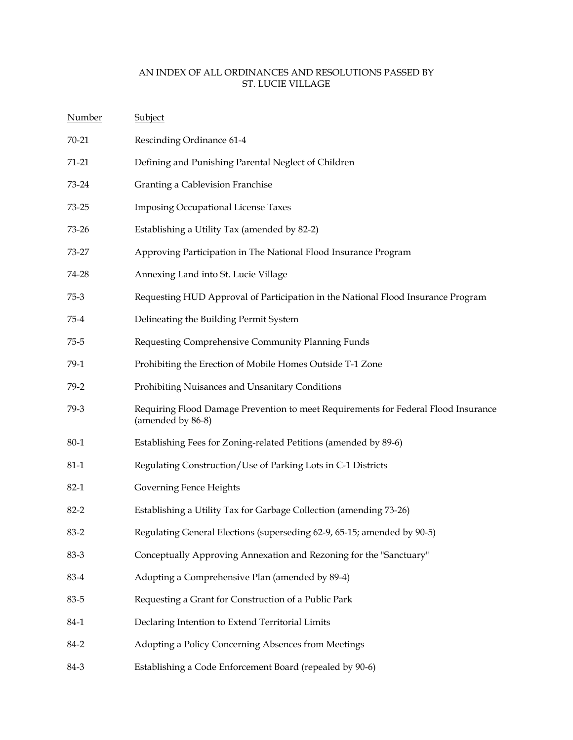| <b>Number</b> | <b>Subject</b>                                                                                          |
|---------------|---------------------------------------------------------------------------------------------------------|
| 70-21         | Rescinding Ordinance 61-4                                                                               |
| $71 - 21$     | Defining and Punishing Parental Neglect of Children                                                     |
| 73-24         | Granting a Cablevision Franchise                                                                        |
| $73 - 25$     | <b>Imposing Occupational License Taxes</b>                                                              |
| 73-26         | Establishing a Utility Tax (amended by 82-2)                                                            |
| 73-27         | Approving Participation in The National Flood Insurance Program                                         |
| 74-28         | Annexing Land into St. Lucie Village                                                                    |
| $75-3$        | Requesting HUD Approval of Participation in the National Flood Insurance Program                        |
| $75-4$        | Delineating the Building Permit System                                                                  |
| $75 - 5$      | Requesting Comprehensive Community Planning Funds                                                       |
| 79-1          | Prohibiting the Erection of Mobile Homes Outside T-1 Zone                                               |
| $79-2$        | Prohibiting Nuisances and Unsanitary Conditions                                                         |
| 79-3          | Requiring Flood Damage Prevention to meet Requirements for Federal Flood Insurance<br>(amended by 86-8) |
| 80-1          | Establishing Fees for Zoning-related Petitions (amended by 89-6)                                        |
| $81 - 1$      | Regulating Construction/Use of Parking Lots in C-1 Districts                                            |
| $82-1$        | Governing Fence Heights                                                                                 |
| $82 - 2$      | Establishing a Utility Tax for Garbage Collection (amending 73-26)                                      |
| $83 - 2$      | Regulating General Elections (superseding 62-9, 65-15; amended by 90-5)                                 |
| 83-3          | Conceptually Approving Annexation and Rezoning for the "Sanctuary"                                      |
| 83-4          | Adopting a Comprehensive Plan (amended by 89-4)                                                         |
| 83-5          | Requesting a Grant for Construction of a Public Park                                                    |
| 84-1          | Declaring Intention to Extend Territorial Limits                                                        |
| 84-2          | Adopting a Policy Concerning Absences from Meetings                                                     |
| 84-3          | Establishing a Code Enforcement Board (repealed by 90-6)                                                |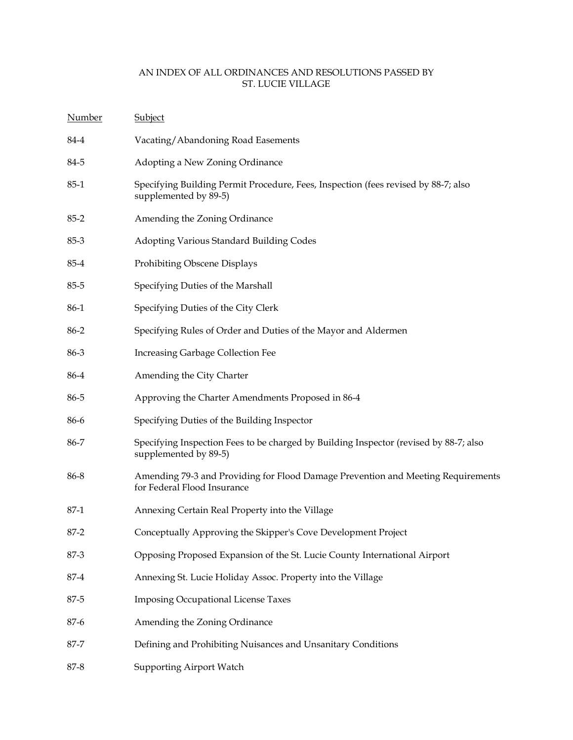| <b>Number</b> | <b>Subject</b>                                                                                                  |
|---------------|-----------------------------------------------------------------------------------------------------------------|
| 84-4          | Vacating/Abandoning Road Easements                                                                              |
| 84-5          | Adopting a New Zoning Ordinance                                                                                 |
| $85 - 1$      | Specifying Building Permit Procedure, Fees, Inspection (fees revised by 88-7; also<br>supplemented by 89-5)     |
| $85 - 2$      | Amending the Zoning Ordinance                                                                                   |
| $85-3$        | Adopting Various Standard Building Codes                                                                        |
| 85-4          | Prohibiting Obscene Displays                                                                                    |
| $85 - 5$      | Specifying Duties of the Marshall                                                                               |
| 86-1          | Specifying Duties of the City Clerk                                                                             |
| 86-2          | Specifying Rules of Order and Duties of the Mayor and Aldermen                                                  |
| 86-3          | Increasing Garbage Collection Fee                                                                               |
| 86-4          | Amending the City Charter                                                                                       |
| 86-5          | Approving the Charter Amendments Proposed in 86-4                                                               |
| 86-6          | Specifying Duties of the Building Inspector                                                                     |
| 86-7          | Specifying Inspection Fees to be charged by Building Inspector (revised by 88-7; also<br>supplemented by 89-5)  |
| 86-8          | Amending 79-3 and Providing for Flood Damage Prevention and Meeting Requirements<br>for Federal Flood Insurance |
| $87-1$        | Annexing Certain Real Property into the Village                                                                 |
| $87 - 2$      | Conceptually Approving the Skipper's Cove Development Project                                                   |
| 87-3          | Opposing Proposed Expansion of the St. Lucie County International Airport                                       |
| $87 - 4$      | Annexing St. Lucie Holiday Assoc. Property into the Village                                                     |
| 87-5          | <b>Imposing Occupational License Taxes</b>                                                                      |
| 87-6          | Amending the Zoning Ordinance                                                                                   |
| 87-7          | Defining and Prohibiting Nuisances and Unsanitary Conditions                                                    |
| 87-8          | <b>Supporting Airport Watch</b>                                                                                 |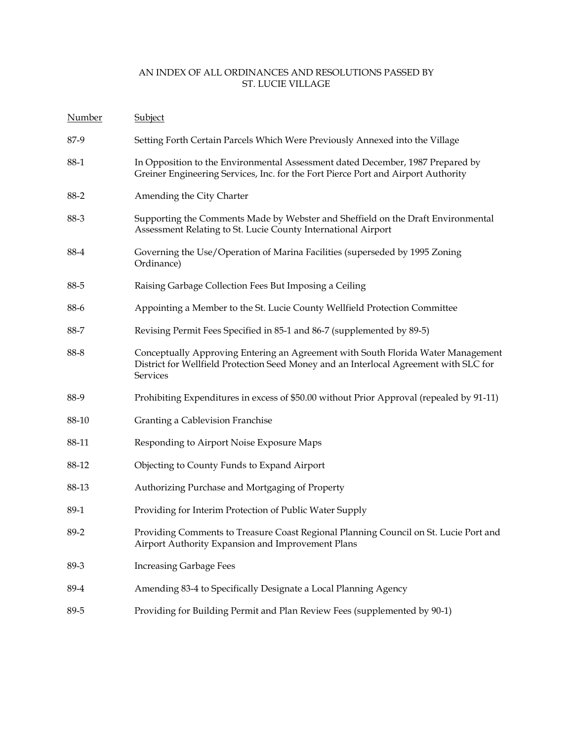| Number | <b>Subject</b>                                                                                                                                                                        |
|--------|---------------------------------------------------------------------------------------------------------------------------------------------------------------------------------------|
| 87-9   | Setting Forth Certain Parcels Which Were Previously Annexed into the Village                                                                                                          |
| 88-1   | In Opposition to the Environmental Assessment dated December, 1987 Prepared by<br>Greiner Engineering Services, Inc. for the Fort Pierce Port and Airport Authority                   |
| 88-2   | Amending the City Charter                                                                                                                                                             |
| 88-3   | Supporting the Comments Made by Webster and Sheffield on the Draft Environmental<br>Assessment Relating to St. Lucie County International Airport                                     |
| 88-4   | Governing the Use/Operation of Marina Facilities (superseded by 1995 Zoning<br>Ordinance)                                                                                             |
| 88-5   | Raising Garbage Collection Fees But Imposing a Ceiling                                                                                                                                |
| 88-6   | Appointing a Member to the St. Lucie County Wellfield Protection Committee                                                                                                            |
| 88-7   | Revising Permit Fees Specified in 85-1 and 86-7 (supplemented by 89-5)                                                                                                                |
| 88-8   | Conceptually Approving Entering an Agreement with South Florida Water Management<br>District for Wellfield Protection Seed Money and an Interlocal Agreement with SLC for<br>Services |
| 88-9   | Prohibiting Expenditures in excess of \$50.00 without Prior Approval (repealed by 91-11)                                                                                              |
| 88-10  | Granting a Cablevision Franchise                                                                                                                                                      |
| 88-11  | Responding to Airport Noise Exposure Maps                                                                                                                                             |
| 88-12  | Objecting to County Funds to Expand Airport                                                                                                                                           |
| 88-13  | Authorizing Purchase and Mortgaging of Property                                                                                                                                       |
| 89-1   | Providing for Interim Protection of Public Water Supply                                                                                                                               |
| 89-2   | Providing Comments to Treasure Coast Regional Planning Council on St. Lucie Port and<br>Airport Authority Expansion and Improvement Plans                                             |
| 89-3   | <b>Increasing Garbage Fees</b>                                                                                                                                                        |
| 89-4   | Amending 83-4 to Specifically Designate a Local Planning Agency                                                                                                                       |
| 89-5   | Providing for Building Permit and Plan Review Fees (supplemented by 90-1)                                                                                                             |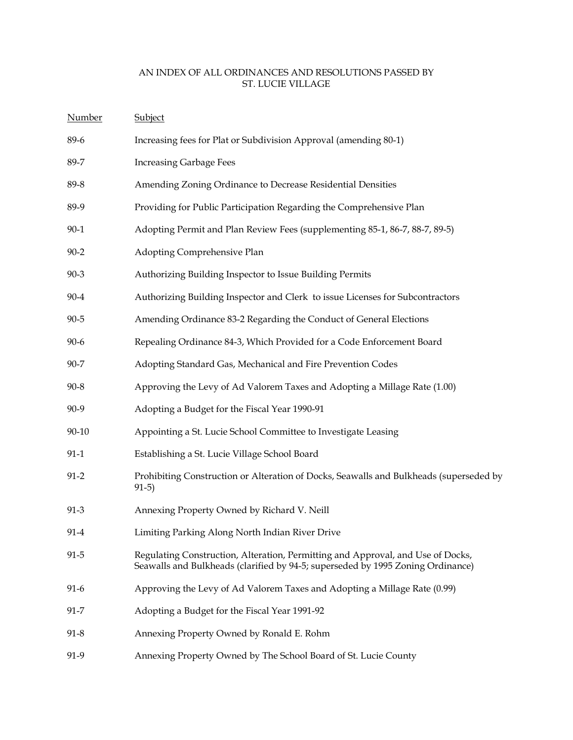| <b>Number</b> | Subject                                                                                                                                                            |
|---------------|--------------------------------------------------------------------------------------------------------------------------------------------------------------------|
| 89-6          | Increasing fees for Plat or Subdivision Approval (amending 80-1)                                                                                                   |
| 89-7          | <b>Increasing Garbage Fees</b>                                                                                                                                     |
| 89-8          | Amending Zoning Ordinance to Decrease Residential Densities                                                                                                        |
| 89-9          | Providing for Public Participation Regarding the Comprehensive Plan                                                                                                |
| $90 - 1$      | Adopting Permit and Plan Review Fees (supplementing 85-1, 86-7, 88-7, 89-5)                                                                                        |
| $90 - 2$      | Adopting Comprehensive Plan                                                                                                                                        |
| $90 - 3$      | Authorizing Building Inspector to Issue Building Permits                                                                                                           |
| $90 - 4$      | Authorizing Building Inspector and Clerk to issue Licenses for Subcontractors                                                                                      |
| $90 - 5$      | Amending Ordinance 83-2 Regarding the Conduct of General Elections                                                                                                 |
| $90 - 6$      | Repealing Ordinance 84-3, Which Provided for a Code Enforcement Board                                                                                              |
| 90-7          | Adopting Standard Gas, Mechanical and Fire Prevention Codes                                                                                                        |
| $90 - 8$      | Approving the Levy of Ad Valorem Taxes and Adopting a Millage Rate (1.00)                                                                                          |
| 90-9          | Adopting a Budget for the Fiscal Year 1990-91                                                                                                                      |
| 90-10         | Appointing a St. Lucie School Committee to Investigate Leasing                                                                                                     |
| $91 - 1$      | Establishing a St. Lucie Village School Board                                                                                                                      |
| $91 - 2$      | Prohibiting Construction or Alteration of Docks, Seawalls and Bulkheads (superseded by<br>$91-5)$                                                                  |
| $91 - 3$      | Annexing Property Owned by Richard V. Neill                                                                                                                        |
| 91-4          | Limiting Parking Along North Indian River Drive                                                                                                                    |
| $91 - 5$      | Regulating Construction, Alteration, Permitting and Approval, and Use of Docks,<br>Seawalls and Bulkheads (clarified by 94-5; superseded by 1995 Zoning Ordinance) |
| $91-6$        | Approving the Levy of Ad Valorem Taxes and Adopting a Millage Rate (0.99)                                                                                          |
| $91 - 7$      | Adopting a Budget for the Fiscal Year 1991-92                                                                                                                      |
| $91 - 8$      | Annexing Property Owned by Ronald E. Rohm                                                                                                                          |
| 91-9          | Annexing Property Owned by The School Board of St. Lucie County                                                                                                    |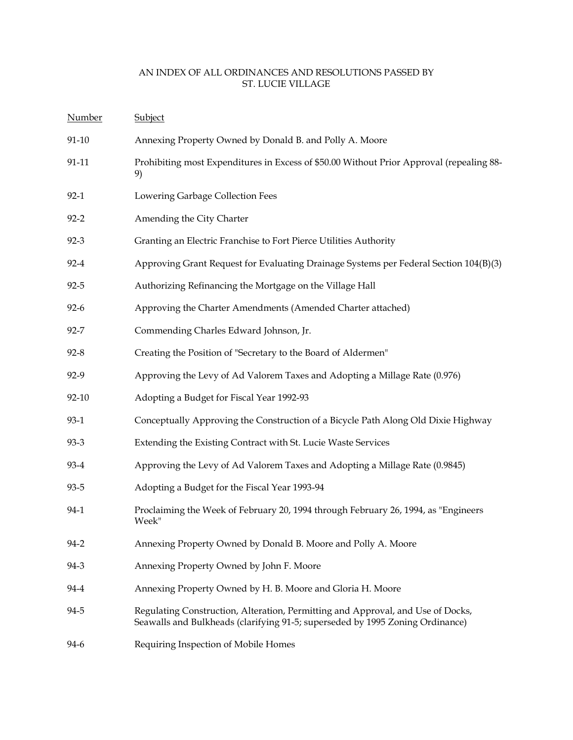| <b>Number</b> | Subject                                                                                                                                                          |
|---------------|------------------------------------------------------------------------------------------------------------------------------------------------------------------|
| $91 - 10$     | Annexing Property Owned by Donald B. and Polly A. Moore                                                                                                          |
| 91-11         | Prohibiting most Expenditures in Excess of \$50.00 Without Prior Approval (repealing 88-<br>9)                                                                   |
| $92-1$        | Lowering Garbage Collection Fees                                                                                                                                 |
| $92 - 2$      | Amending the City Charter                                                                                                                                        |
| $92 - 3$      | Granting an Electric Franchise to Fort Pierce Utilities Authority                                                                                                |
| $92 - 4$      | Approving Grant Request for Evaluating Drainage Systems per Federal Section 104(B)(3)                                                                            |
| $92 - 5$      | Authorizing Refinancing the Mortgage on the Village Hall                                                                                                         |
| $92 - 6$      | Approving the Charter Amendments (Amended Charter attached)                                                                                                      |
| $92 - 7$      | Commending Charles Edward Johnson, Jr.                                                                                                                           |
| $92 - 8$      | Creating the Position of "Secretary to the Board of Aldermen"                                                                                                    |
| 92-9          | Approving the Levy of Ad Valorem Taxes and Adopting a Millage Rate (0.976)                                                                                       |
| 92-10         | Adopting a Budget for Fiscal Year 1992-93                                                                                                                        |
| $93-1$        | Conceptually Approving the Construction of a Bicycle Path Along Old Dixie Highway                                                                                |
| $93 - 3$      | Extending the Existing Contract with St. Lucie Waste Services                                                                                                    |
| 93-4          | Approving the Levy of Ad Valorem Taxes and Adopting a Millage Rate (0.9845)                                                                                      |
| 93-5          | Adopting a Budget for the Fiscal Year 1993-94                                                                                                                    |
| 94-1          | Proclaiming the Week of February 20, 1994 through February 26, 1994, as "Engineers<br>Week"                                                                      |
| $94 - 2$      | Annexing Property Owned by Donald B. Moore and Polly A. Moore                                                                                                    |
| 94-3          | Annexing Property Owned by John F. Moore                                                                                                                         |
| 94-4          | Annexing Property Owned by H. B. Moore and Gloria H. Moore                                                                                                       |
| 94-5          | Regulating Construction, Alteration, Permitting and Approval, and Use of Docks,<br>Seawalls and Bulkheads (clarifying 91-5; superseded by 1995 Zoning Ordinance) |
| 94-6          | Requiring Inspection of Mobile Homes                                                                                                                             |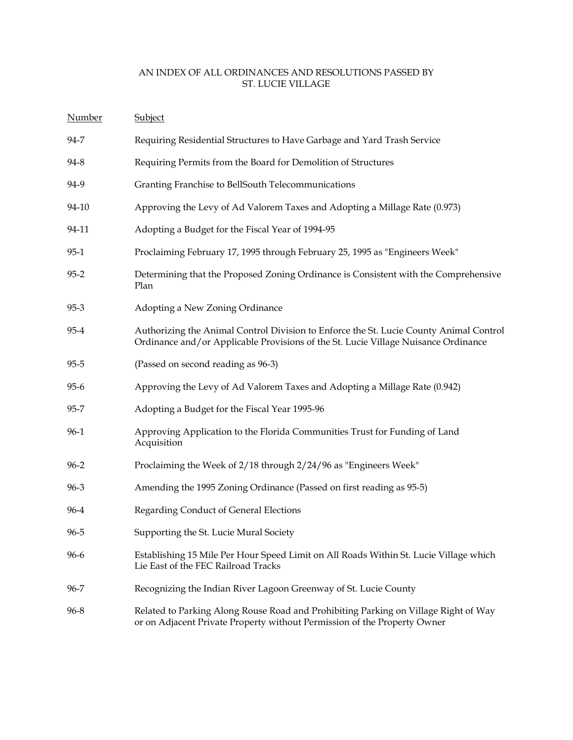| Number   | Subject                                                                                                                                                                      |
|----------|------------------------------------------------------------------------------------------------------------------------------------------------------------------------------|
| 94-7     | Requiring Residential Structures to Have Garbage and Yard Trash Service                                                                                                      |
| 94-8     | Requiring Permits from the Board for Demolition of Structures                                                                                                                |
| 94-9     | Granting Franchise to BellSouth Telecommunications                                                                                                                           |
| 94-10    | Approving the Levy of Ad Valorem Taxes and Adopting a Millage Rate (0.973)                                                                                                   |
| 94-11    | Adopting a Budget for the Fiscal Year of 1994-95                                                                                                                             |
| $95-1$   | Proclaiming February 17, 1995 through February 25, 1995 as "Engineers Week"                                                                                                  |
| $95 - 2$ | Determining that the Proposed Zoning Ordinance is Consistent with the Comprehensive<br>Plan                                                                                  |
| $95 - 3$ | Adopting a New Zoning Ordinance                                                                                                                                              |
| $95 - 4$ | Authorizing the Animal Control Division to Enforce the St. Lucie County Animal Control<br>Ordinance and/or Applicable Provisions of the St. Lucie Village Nuisance Ordinance |
| $95 - 5$ | (Passed on second reading as 96-3)                                                                                                                                           |
| $95 - 6$ | Approving the Levy of Ad Valorem Taxes and Adopting a Millage Rate (0.942)                                                                                                   |
| $95 - 7$ | Adopting a Budget for the Fiscal Year 1995-96                                                                                                                                |
| $96-1$   | Approving Application to the Florida Communities Trust for Funding of Land<br>Acquisition                                                                                    |
| $96 - 2$ | Proclaiming the Week of 2/18 through 2/24/96 as "Engineers Week"                                                                                                             |
| $96 - 3$ | Amending the 1995 Zoning Ordinance (Passed on first reading as 95-5)                                                                                                         |
| 96-4     | Regarding Conduct of General Elections                                                                                                                                       |
| 96-5     | Supporting the St. Lucie Mural Society                                                                                                                                       |
| 96-6     | Establishing 15 Mile Per Hour Speed Limit on All Roads Within St. Lucie Village which<br>Lie East of the FEC Railroad Tracks                                                 |
| 96-7     | Recognizing the Indian River Lagoon Greenway of St. Lucie County                                                                                                             |
| 96-8     | Related to Parking Along Rouse Road and Prohibiting Parking on Village Right of Way<br>or on Adjacent Private Property without Permission of the Property Owner              |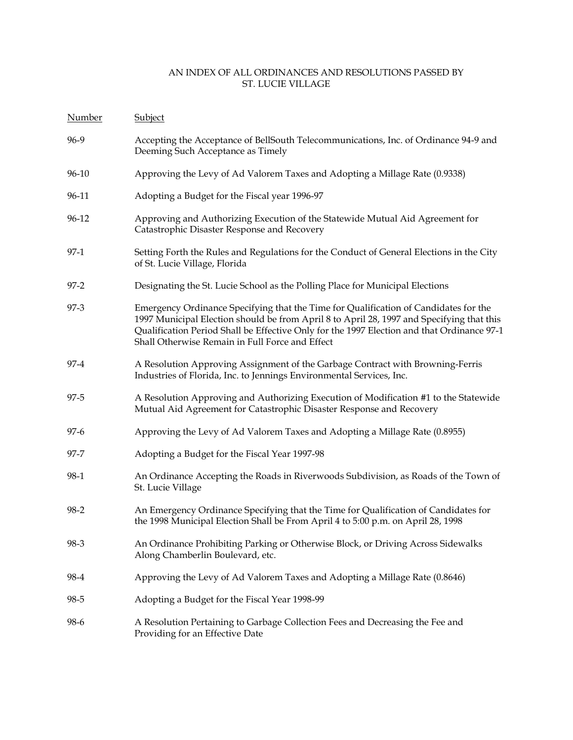| Number   | Subject                                                                                                                                                                                                                                                                                                                            |
|----------|------------------------------------------------------------------------------------------------------------------------------------------------------------------------------------------------------------------------------------------------------------------------------------------------------------------------------------|
| 96-9     | Accepting the Acceptance of BellSouth Telecommunications, Inc. of Ordinance 94-9 and<br>Deeming Such Acceptance as Timely                                                                                                                                                                                                          |
| 96-10    | Approving the Levy of Ad Valorem Taxes and Adopting a Millage Rate (0.9338)                                                                                                                                                                                                                                                        |
| 96-11    | Adopting a Budget for the Fiscal year 1996-97                                                                                                                                                                                                                                                                                      |
| 96-12    | Approving and Authorizing Execution of the Statewide Mutual Aid Agreement for<br>Catastrophic Disaster Response and Recovery                                                                                                                                                                                                       |
| $97-1$   | Setting Forth the Rules and Regulations for the Conduct of General Elections in the City<br>of St. Lucie Village, Florida                                                                                                                                                                                                          |
| $97 - 2$ | Designating the St. Lucie School as the Polling Place for Municipal Elections                                                                                                                                                                                                                                                      |
| $97-3$   | Emergency Ordinance Specifying that the Time for Qualification of Candidates for the<br>1997 Municipal Election should be from April 8 to April 28, 1997 and Specifying that this<br>Qualification Period Shall be Effective Only for the 1997 Election and that Ordinance 97-1<br>Shall Otherwise Remain in Full Force and Effect |
| 97-4     | A Resolution Approving Assignment of the Garbage Contract with Browning-Ferris<br>Industries of Florida, Inc. to Jennings Environmental Services, Inc.                                                                                                                                                                             |
| 97-5     | A Resolution Approving and Authorizing Execution of Modification #1 to the Statewide<br>Mutual Aid Agreement for Catastrophic Disaster Response and Recovery                                                                                                                                                                       |
| $97-6$   | Approving the Levy of Ad Valorem Taxes and Adopting a Millage Rate (0.8955)                                                                                                                                                                                                                                                        |
| 97-7     | Adopting a Budget for the Fiscal Year 1997-98                                                                                                                                                                                                                                                                                      |
| 98-1     | An Ordinance Accepting the Roads in Riverwoods Subdivision, as Roads of the Town of<br>St. Lucie Village                                                                                                                                                                                                                           |
| $98 - 2$ | An Emergency Ordinance Specifying that the Time for Qualification of Candidates for<br>the 1998 Municipal Election Shall be From April 4 to 5:00 p.m. on April 28, 1998                                                                                                                                                            |
| 98-3     | An Ordinance Prohibiting Parking or Otherwise Block, or Driving Across Sidewalks<br>Along Chamberlin Boulevard, etc.                                                                                                                                                                                                               |
| 98-4     | Approving the Levy of Ad Valorem Taxes and Adopting a Millage Rate (0.8646)                                                                                                                                                                                                                                                        |
| $98 - 5$ | Adopting a Budget for the Fiscal Year 1998-99                                                                                                                                                                                                                                                                                      |
| 98-6     | A Resolution Pertaining to Garbage Collection Fees and Decreasing the Fee and<br>Providing for an Effective Date                                                                                                                                                                                                                   |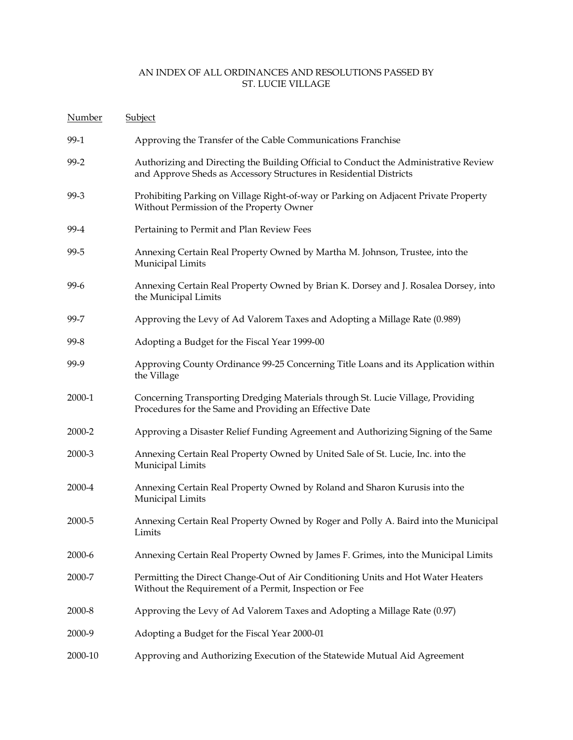| Number  | Subject                                                                                                                                                    |
|---------|------------------------------------------------------------------------------------------------------------------------------------------------------------|
| 99-1    | Approving the Transfer of the Cable Communications Franchise                                                                                               |
| $99-2$  | Authorizing and Directing the Building Official to Conduct the Administrative Review<br>and Approve Sheds as Accessory Structures in Residential Districts |
| 99-3    | Prohibiting Parking on Village Right-of-way or Parking on Adjacent Private Property<br>Without Permission of the Property Owner                            |
| 99-4    | Pertaining to Permit and Plan Review Fees                                                                                                                  |
| 99-5    | Annexing Certain Real Property Owned by Martha M. Johnson, Trustee, into the<br>Municipal Limits                                                           |
| $99-6$  | Annexing Certain Real Property Owned by Brian K. Dorsey and J. Rosalea Dorsey, into<br>the Municipal Limits                                                |
| 99-7    | Approving the Levy of Ad Valorem Taxes and Adopting a Millage Rate (0.989)                                                                                 |
| $99-8$  | Adopting a Budget for the Fiscal Year 1999-00                                                                                                              |
| 99-9    | Approving County Ordinance 99-25 Concerning Title Loans and its Application within<br>the Village                                                          |
| 2000-1  | Concerning Transporting Dredging Materials through St. Lucie Village, Providing<br>Procedures for the Same and Providing an Effective Date                 |
| 2000-2  | Approving a Disaster Relief Funding Agreement and Authorizing Signing of the Same                                                                          |
| 2000-3  | Annexing Certain Real Property Owned by United Sale of St. Lucie, Inc. into the<br>Municipal Limits                                                        |
| 2000-4  | Annexing Certain Real Property Owned by Roland and Sharon Kurusis into the<br>Municipal Limits                                                             |
| 2000-5  | Annexing Certain Real Property Owned by Roger and Polly A. Baird into the Municipal<br>Limits                                                              |
| 2000-6  | Annexing Certain Real Property Owned by James F. Grimes, into the Municipal Limits                                                                         |
| 2000-7  | Permitting the Direct Change-Out of Air Conditioning Units and Hot Water Heaters<br>Without the Requirement of a Permit, Inspection or Fee                 |
| 2000-8  | Approving the Levy of Ad Valorem Taxes and Adopting a Millage Rate (0.97)                                                                                  |
| 2000-9  | Adopting a Budget for the Fiscal Year 2000-01                                                                                                              |
| 2000-10 | Approving and Authorizing Execution of the Statewide Mutual Aid Agreement                                                                                  |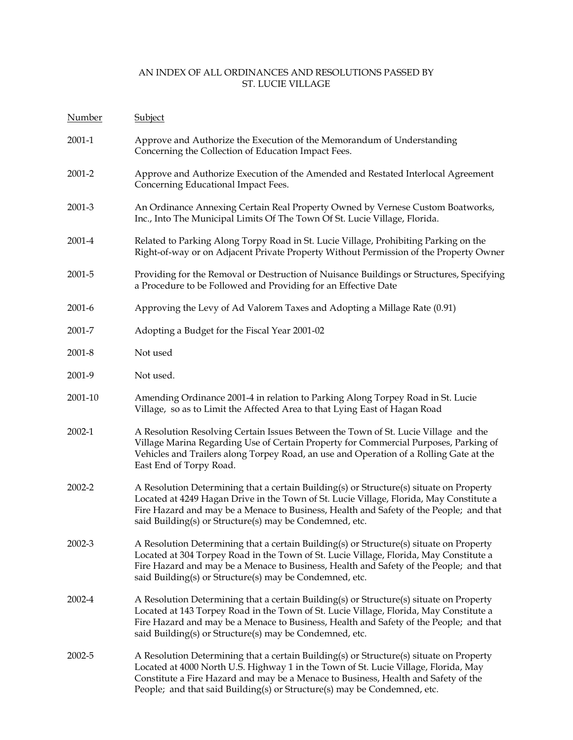| <b>Number</b> | <b>Subject</b>                                                                                                                                                                                                                                                                                                                                   |
|---------------|--------------------------------------------------------------------------------------------------------------------------------------------------------------------------------------------------------------------------------------------------------------------------------------------------------------------------------------------------|
| 2001-1        | Approve and Authorize the Execution of the Memorandum of Understanding<br>Concerning the Collection of Education Impact Fees.                                                                                                                                                                                                                    |
| 2001-2        | Approve and Authorize Execution of the Amended and Restated Interlocal Agreement<br>Concerning Educational Impact Fees.                                                                                                                                                                                                                          |
| 2001-3        | An Ordinance Annexing Certain Real Property Owned by Vernese Custom Boatworks,<br>Inc., Into The Municipal Limits Of The Town Of St. Lucie Village, Florida.                                                                                                                                                                                     |
| 2001-4        | Related to Parking Along Torpy Road in St. Lucie Village, Prohibiting Parking on the<br>Right-of-way or on Adjacent Private Property Without Permission of the Property Owner                                                                                                                                                                    |
| 2001-5        | Providing for the Removal or Destruction of Nuisance Buildings or Structures, Specifying<br>a Procedure to be Followed and Providing for an Effective Date                                                                                                                                                                                       |
| $2001 - 6$    | Approving the Levy of Ad Valorem Taxes and Adopting a Millage Rate (0.91)                                                                                                                                                                                                                                                                        |
| 2001-7        | Adopting a Budget for the Fiscal Year 2001-02                                                                                                                                                                                                                                                                                                    |
| 2001-8        | Not used                                                                                                                                                                                                                                                                                                                                         |
| 2001-9        | Not used.                                                                                                                                                                                                                                                                                                                                        |
| 2001-10       | Amending Ordinance 2001-4 in relation to Parking Along Torpey Road in St. Lucie<br>Village, so as to Limit the Affected Area to that Lying East of Hagan Road                                                                                                                                                                                    |
| 2002-1        | A Resolution Resolving Certain Issues Between the Town of St. Lucie Village and the<br>Village Marina Regarding Use of Certain Property for Commercial Purposes, Parking of<br>Vehicles and Trailers along Torpey Road, an use and Operation of a Rolling Gate at the<br>East End of Torpy Road.                                                 |
| 2002-2        | A Resolution Determining that a certain Building(s) or Structure(s) situate on Property<br>Located at 4249 Hagan Drive in the Town of St. Lucie Village, Florida, May Constitute a<br>Fire Hazard and may be a Menace to Business, Health and Safety of the People; and that<br>said Building(s) or Structure(s) may be Condemned, etc.          |
| 2002-3        | A Resolution Determining that a certain Building(s) or Structure(s) situate on Property<br>Located at 304 Torpey Road in the Town of St. Lucie Village, Florida, May Constitute a<br>Fire Hazard and may be a Menace to Business, Health and Safety of the People; and that<br>said Building(s) or Structure(s) may be Condemned, etc.           |
| 2002-4        | A Resolution Determining that a certain Building(s) or Structure(s) situate on Property<br>Located at 143 Torpey Road in the Town of St. Lucie Village, Florida, May Constitute a<br>Fire Hazard and may be a Menace to Business, Health and Safety of the People; and that<br>said Building(s) or Structure(s) may be Condemned, etc.           |
| 2002-5        | A Resolution Determining that a certain Building(s) or Structure(s) situate on Property<br>Located at 4000 North U.S. Highway 1 in the Town of St. Lucie Village, Florida, May<br>Constitute a Fire Hazard and may be a Menace to Business, Health and Safety of the<br>People; and that said Building(s) or Structure(s) may be Condemned, etc. |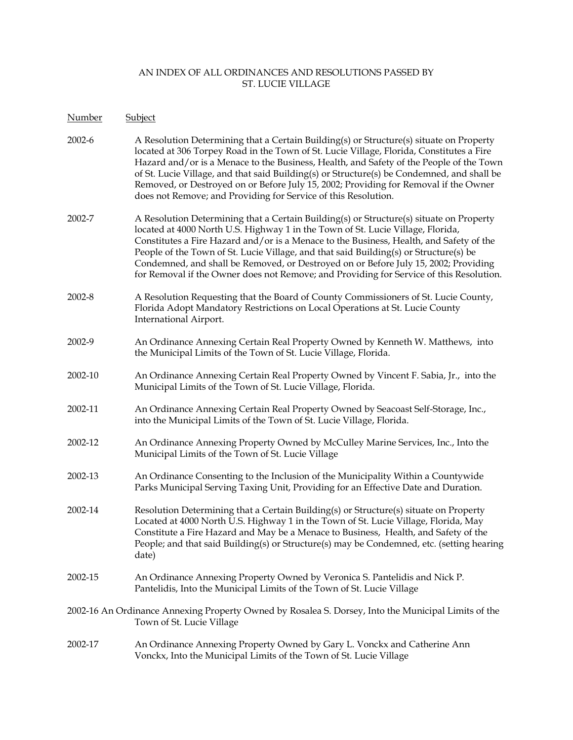| N <u>umber</u> | <b>Subject</b>                                                                                                                                                                                                                                                                                                                                                                                                                                                                                                                                   |
|----------------|--------------------------------------------------------------------------------------------------------------------------------------------------------------------------------------------------------------------------------------------------------------------------------------------------------------------------------------------------------------------------------------------------------------------------------------------------------------------------------------------------------------------------------------------------|
| 2002-6         | A Resolution Determining that a Certain Building(s) or Structure(s) situate on Property<br>located at 306 Torpey Road in the Town of St. Lucie Village, Florida, Constitutes a Fire<br>Hazard and/or is a Menace to the Business, Health, and Safety of the People of the Town<br>of St. Lucie Village, and that said Building(s) or Structure(s) be Condemned, and shall be<br>Removed, or Destroyed on or Before July 15, 2002; Providing for Removal if the Owner<br>does not Remove; and Providing for Service of this Resolution.           |
| 2002-7         | A Resolution Determining that a Certain Building(s) or Structure(s) situate on Property<br>located at 4000 North U.S. Highway 1 in the Town of St. Lucie Village, Florida,<br>Constitutes a Fire Hazard and/or is a Menace to the Business, Health, and Safety of the<br>People of the Town of St. Lucie Village, and that said Building(s) or Structure(s) be<br>Condemned, and shall be Removed, or Destroyed on or Before July 15, 2002; Providing<br>for Removal if the Owner does not Remove; and Providing for Service of this Resolution. |
| 2002-8         | A Resolution Requesting that the Board of County Commissioners of St. Lucie County,<br>Florida Adopt Mandatory Restrictions on Local Operations at St. Lucie County<br>International Airport.                                                                                                                                                                                                                                                                                                                                                    |
| 2002-9         | An Ordinance Annexing Certain Real Property Owned by Kenneth W. Matthews, into<br>the Municipal Limits of the Town of St. Lucie Village, Florida.                                                                                                                                                                                                                                                                                                                                                                                                |
| 2002-10        | An Ordinance Annexing Certain Real Property Owned by Vincent F. Sabia, Jr., into the<br>Municipal Limits of the Town of St. Lucie Village, Florida.                                                                                                                                                                                                                                                                                                                                                                                              |
| 2002-11        | An Ordinance Annexing Certain Real Property Owned by Seacoast Self-Storage, Inc.,<br>into the Municipal Limits of the Town of St. Lucie Village, Florida.                                                                                                                                                                                                                                                                                                                                                                                        |
| 2002-12        | An Ordinance Annexing Property Owned by McCulley Marine Services, Inc., Into the<br>Municipal Limits of the Town of St. Lucie Village                                                                                                                                                                                                                                                                                                                                                                                                            |
| 2002-13        | An Ordinance Consenting to the Inclusion of the Municipality Within a Countywide<br>Parks Municipal Serving Taxing Unit, Providing for an Effective Date and Duration.                                                                                                                                                                                                                                                                                                                                                                           |
| 2002-14        | Resolution Determining that a Certain Building(s) or Structure(s) situate on Property<br>Located at 4000 North U.S. Highway 1 in the Town of St. Lucie Village, Florida, May<br>Constitute a Fire Hazard and May be a Menace to Business, Health, and Safety of the<br>People; and that said Building(s) or Structure(s) may be Condemned, etc. (setting hearing<br>date)                                                                                                                                                                        |
| 2002-15        | An Ordinance Annexing Property Owned by Veronica S. Pantelidis and Nick P.<br>Pantelidis, Into the Municipal Limits of the Town of St. Lucie Village                                                                                                                                                                                                                                                                                                                                                                                             |
|                | 2002-16 An Ordinance Annexing Property Owned by Rosalea S. Dorsey, Into the Municipal Limits of the<br>Town of St. Lucie Village                                                                                                                                                                                                                                                                                                                                                                                                                 |
| 2002-17        | An Ordinance Annexing Property Owned by Gary L. Vonckx and Catherine Ann<br>Vonckx, Into the Municipal Limits of the Town of St. Lucie Village                                                                                                                                                                                                                                                                                                                                                                                                   |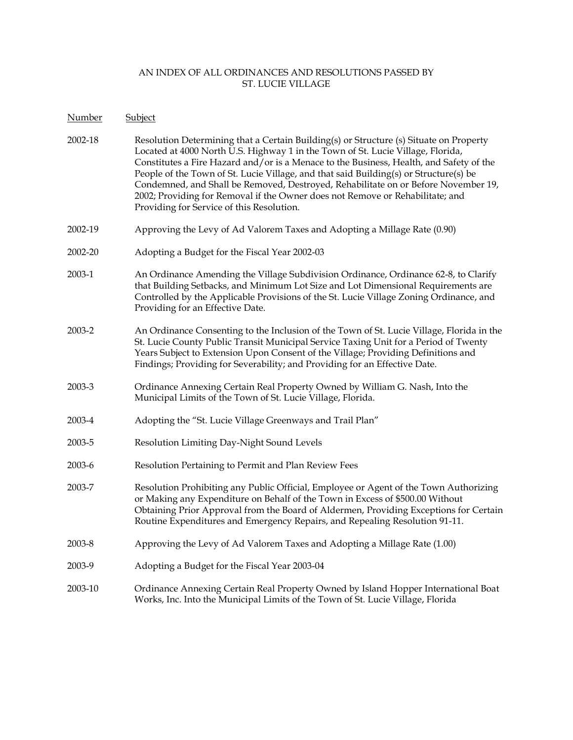| Number  | Subject                                                                                                                                                                                                                                                                                                                                                                                                                                                                                                                                                                           |
|---------|-----------------------------------------------------------------------------------------------------------------------------------------------------------------------------------------------------------------------------------------------------------------------------------------------------------------------------------------------------------------------------------------------------------------------------------------------------------------------------------------------------------------------------------------------------------------------------------|
| 2002-18 | Resolution Determining that a Certain Building(s) or Structure (s) Situate on Property<br>Located at 4000 North U.S. Highway 1 in the Town of St. Lucie Village, Florida,<br>Constitutes a Fire Hazard and/or is a Menace to the Business, Health, and Safety of the<br>People of the Town of St. Lucie Village, and that said Building(s) or Structure(s) be<br>Condemned, and Shall be Removed, Destroyed, Rehabilitate on or Before November 19,<br>2002; Providing for Removal if the Owner does not Remove or Rehabilitate; and<br>Providing for Service of this Resolution. |
| 2002-19 | Approving the Levy of Ad Valorem Taxes and Adopting a Millage Rate (0.90)                                                                                                                                                                                                                                                                                                                                                                                                                                                                                                         |
| 2002-20 | Adopting a Budget for the Fiscal Year 2002-03                                                                                                                                                                                                                                                                                                                                                                                                                                                                                                                                     |
| 2003-1  | An Ordinance Amending the Village Subdivision Ordinance, Ordinance 62-8, to Clarify<br>that Building Setbacks, and Minimum Lot Size and Lot Dimensional Requirements are<br>Controlled by the Applicable Provisions of the St. Lucie Village Zoning Ordinance, and<br>Providing for an Effective Date.                                                                                                                                                                                                                                                                            |
| 2003-2  | An Ordinance Consenting to the Inclusion of the Town of St. Lucie Village, Florida in the<br>St. Lucie County Public Transit Municipal Service Taxing Unit for a Period of Twenty<br>Years Subject to Extension Upon Consent of the Village; Providing Definitions and<br>Findings; Providing for Severability; and Providing for an Effective Date.                                                                                                                                                                                                                              |
| 2003-3  | Ordinance Annexing Certain Real Property Owned by William G. Nash, Into the<br>Municipal Limits of the Town of St. Lucie Village, Florida.                                                                                                                                                                                                                                                                                                                                                                                                                                        |
| 2003-4  | Adopting the "St. Lucie Village Greenways and Trail Plan"                                                                                                                                                                                                                                                                                                                                                                                                                                                                                                                         |
| 2003-5  | Resolution Limiting Day-Night Sound Levels                                                                                                                                                                                                                                                                                                                                                                                                                                                                                                                                        |
| 2003-6  | Resolution Pertaining to Permit and Plan Review Fees                                                                                                                                                                                                                                                                                                                                                                                                                                                                                                                              |
| 2003-7  | Resolution Prohibiting any Public Official, Employee or Agent of the Town Authorizing<br>or Making any Expenditure on Behalf of the Town in Excess of \$500.00 Without<br>Obtaining Prior Approval from the Board of Aldermen, Providing Exceptions for Certain<br>Routine Expenditures and Emergency Repairs, and Repealing Resolution 91-11.                                                                                                                                                                                                                                    |
| 2003-8  | Approving the Levy of Ad Valorem Taxes and Adopting a Millage Rate (1.00)                                                                                                                                                                                                                                                                                                                                                                                                                                                                                                         |
| 2003-9  | Adopting a Budget for the Fiscal Year 2003-04                                                                                                                                                                                                                                                                                                                                                                                                                                                                                                                                     |
| 2003-10 | Ordinance Annexing Certain Real Property Owned by Island Hopper International Boat<br>Works, Inc. Into the Municipal Limits of the Town of St. Lucie Village, Florida                                                                                                                                                                                                                                                                                                                                                                                                             |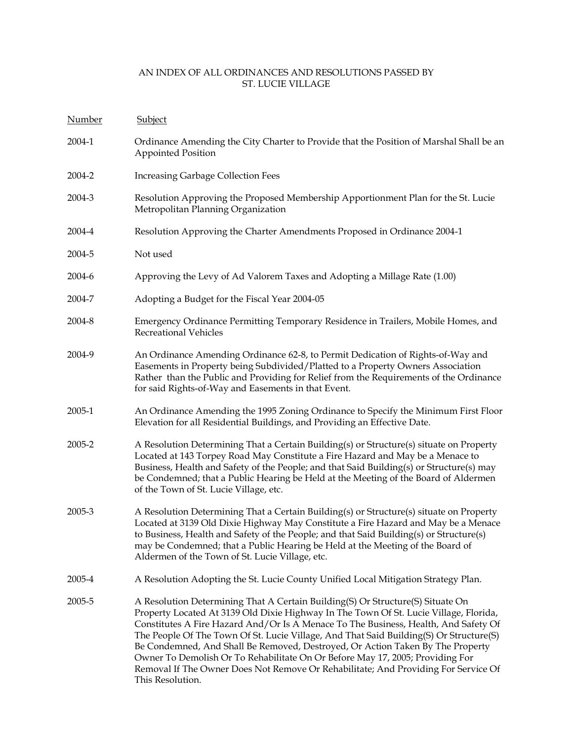| <b>Number</b> | Subject                                                                                                                                                                                                                                                                                                                                                                                                                                                                                                                                                                                                                               |
|---------------|---------------------------------------------------------------------------------------------------------------------------------------------------------------------------------------------------------------------------------------------------------------------------------------------------------------------------------------------------------------------------------------------------------------------------------------------------------------------------------------------------------------------------------------------------------------------------------------------------------------------------------------|
| 2004-1        | Ordinance Amending the City Charter to Provide that the Position of Marshal Shall be an<br><b>Appointed Position</b>                                                                                                                                                                                                                                                                                                                                                                                                                                                                                                                  |
| 2004-2        | <b>Increasing Garbage Collection Fees</b>                                                                                                                                                                                                                                                                                                                                                                                                                                                                                                                                                                                             |
| 2004-3        | Resolution Approving the Proposed Membership Apportionment Plan for the St. Lucie<br>Metropolitan Planning Organization                                                                                                                                                                                                                                                                                                                                                                                                                                                                                                               |
| 2004-4        | Resolution Approving the Charter Amendments Proposed in Ordinance 2004-1                                                                                                                                                                                                                                                                                                                                                                                                                                                                                                                                                              |
| 2004-5        | Not used                                                                                                                                                                                                                                                                                                                                                                                                                                                                                                                                                                                                                              |
| 2004-6        | Approving the Levy of Ad Valorem Taxes and Adopting a Millage Rate (1.00)                                                                                                                                                                                                                                                                                                                                                                                                                                                                                                                                                             |
| 2004-7        | Adopting a Budget for the Fiscal Year 2004-05                                                                                                                                                                                                                                                                                                                                                                                                                                                                                                                                                                                         |
| 2004-8        | Emergency Ordinance Permitting Temporary Residence in Trailers, Mobile Homes, and<br><b>Recreational Vehicles</b>                                                                                                                                                                                                                                                                                                                                                                                                                                                                                                                     |
| 2004-9        | An Ordinance Amending Ordinance 62-8, to Permit Dedication of Rights-of-Way and<br>Easements in Property being Subdivided/Platted to a Property Owners Association<br>Rather than the Public and Providing for Relief from the Requirements of the Ordinance<br>for said Rights-of-Way and Easements in that Event.                                                                                                                                                                                                                                                                                                                   |
| 2005-1        | An Ordinance Amending the 1995 Zoning Ordinance to Specify the Minimum First Floor<br>Elevation for all Residential Buildings, and Providing an Effective Date.                                                                                                                                                                                                                                                                                                                                                                                                                                                                       |
| 2005-2        | A Resolution Determining That a Certain Building(s) or Structure(s) situate on Property<br>Located at 143 Torpey Road May Constitute a Fire Hazard and May be a Menace to<br>Business, Health and Safety of the People; and that Said Building(s) or Structure(s) may<br>be Condemned; that a Public Hearing be Held at the Meeting of the Board of Aldermen<br>of the Town of St. Lucie Village, etc.                                                                                                                                                                                                                                |
| 2005-3        | A Resolution Determining That a Certain Building(s) or Structure(s) situate on Property<br>Located at 3139 Old Dixie Highway May Constitute a Fire Hazard and May be a Menace<br>to Business, Health and Safety of the People; and that Said Building(s) or Structure(s)<br>may be Condemned; that a Public Hearing be Held at the Meeting of the Board of<br>Aldermen of the Town of St. Lucie Village, etc.                                                                                                                                                                                                                         |
| 2005-4        | A Resolution Adopting the St. Lucie County Unified Local Mitigation Strategy Plan.                                                                                                                                                                                                                                                                                                                                                                                                                                                                                                                                                    |
| 2005-5        | A Resolution Determining That A Certain Building(S) Or Structure(S) Situate On<br>Property Located At 3139 Old Dixie Highway In The Town Of St. Lucie Village, Florida,<br>Constitutes A Fire Hazard And/Or Is A Menace To The Business, Health, And Safety Of<br>The People Of The Town Of St. Lucie Village, And That Said Building(S) Or Structure(S)<br>Be Condemned, And Shall Be Removed, Destroyed, Or Action Taken By The Property<br>Owner To Demolish Or To Rehabilitate On Or Before May 17, 2005; Providing For<br>Removal If The Owner Does Not Remove Or Rehabilitate; And Providing For Service Of<br>This Resolution. |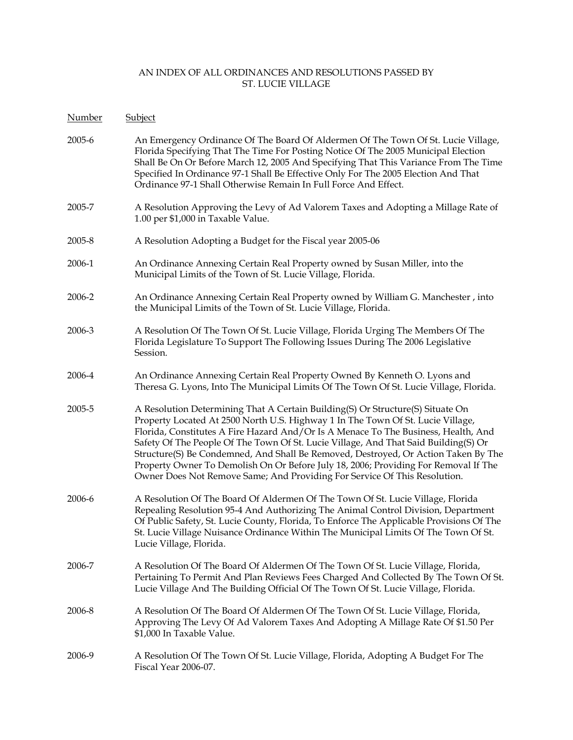| Number | Subject                                                                                                                                                                                                                                                                                                                                                                                                                                                                                                                                                                                                  |
|--------|----------------------------------------------------------------------------------------------------------------------------------------------------------------------------------------------------------------------------------------------------------------------------------------------------------------------------------------------------------------------------------------------------------------------------------------------------------------------------------------------------------------------------------------------------------------------------------------------------------|
| 2005-6 | An Emergency Ordinance Of The Board Of Aldermen Of The Town Of St. Lucie Village,<br>Florida Specifying That The Time For Posting Notice Of The 2005 Municipal Election<br>Shall Be On Or Before March 12, 2005 And Specifying That This Variance From The Time<br>Specified In Ordinance 97-1 Shall Be Effective Only For The 2005 Election And That<br>Ordinance 97-1 Shall Otherwise Remain In Full Force And Effect.                                                                                                                                                                                 |
| 2005-7 | A Resolution Approving the Levy of Ad Valorem Taxes and Adopting a Millage Rate of<br>1.00 per \$1,000 in Taxable Value.                                                                                                                                                                                                                                                                                                                                                                                                                                                                                 |
| 2005-8 | A Resolution Adopting a Budget for the Fiscal year 2005-06                                                                                                                                                                                                                                                                                                                                                                                                                                                                                                                                               |
| 2006-1 | An Ordinance Annexing Certain Real Property owned by Susan Miller, into the<br>Municipal Limits of the Town of St. Lucie Village, Florida.                                                                                                                                                                                                                                                                                                                                                                                                                                                               |
| 2006-2 | An Ordinance Annexing Certain Real Property owned by William G. Manchester, into<br>the Municipal Limits of the Town of St. Lucie Village, Florida.                                                                                                                                                                                                                                                                                                                                                                                                                                                      |
| 2006-3 | A Resolution Of The Town Of St. Lucie Village, Florida Urging The Members Of The<br>Florida Legislature To Support The Following Issues During The 2006 Legislative<br>Session.                                                                                                                                                                                                                                                                                                                                                                                                                          |
| 2006-4 | An Ordinance Annexing Certain Real Property Owned By Kenneth O. Lyons and<br>Theresa G. Lyons, Into The Municipal Limits Of The Town Of St. Lucie Village, Florida.                                                                                                                                                                                                                                                                                                                                                                                                                                      |
| 2005-5 | A Resolution Determining That A Certain Building(S) Or Structure(S) Situate On<br>Property Located At 2500 North U.S. Highway 1 In The Town Of St. Lucie Village,<br>Florida, Constitutes A Fire Hazard And/Or Is A Menace To The Business, Health, And<br>Safety Of The People Of The Town Of St. Lucie Village, And That Said Building(S) Or<br>Structure(S) Be Condemned, And Shall Be Removed, Destroyed, Or Action Taken By The<br>Property Owner To Demolish On Or Before July 18, 2006; Providing For Removal If The<br>Owner Does Not Remove Same; And Providing For Service Of This Resolution. |
| 2006-6 | A Resolution Of The Board Of Aldermen Of The Town Of St. Lucie Village, Florida<br>Repealing Resolution 95-4 And Authorizing The Animal Control Division, Department<br>Of Public Safety, St. Lucie County, Florida, To Enforce The Applicable Provisions Of The<br>St. Lucie Village Nuisance Ordinance Within The Municipal Limits Of The Town Of St.<br>Lucie Village, Florida.                                                                                                                                                                                                                       |
| 2006-7 | A Resolution Of The Board Of Aldermen Of The Town Of St. Lucie Village, Florida,<br>Pertaining To Permit And Plan Reviews Fees Charged And Collected By The Town Of St.<br>Lucie Village And The Building Official Of The Town Of St. Lucie Village, Florida.                                                                                                                                                                                                                                                                                                                                            |
| 2006-8 | A Resolution Of The Board Of Aldermen Of The Town Of St. Lucie Village, Florida,<br>Approving The Levy Of Ad Valorem Taxes And Adopting A Millage Rate Of \$1.50 Per<br>\$1,000 In Taxable Value.                                                                                                                                                                                                                                                                                                                                                                                                        |
| 2006-9 | A Resolution Of The Town Of St. Lucie Village, Florida, Adopting A Budget For The<br>Fiscal Year 2006-07.                                                                                                                                                                                                                                                                                                                                                                                                                                                                                                |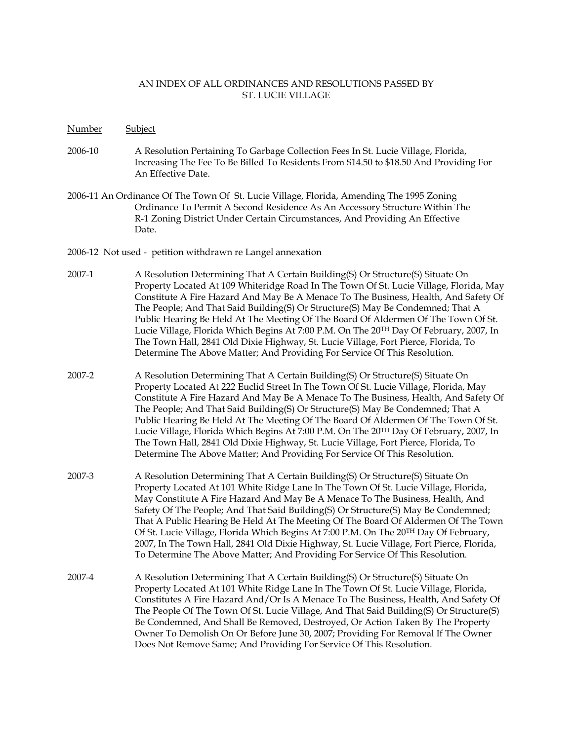- Number Subject
- 2006-10 A Resolution Pertaining To Garbage Collection Fees In St. Lucie Village, Florida, Increasing The Fee To Be Billed To Residents From \$14.50 to \$18.50 And Providing For An Effective Date.
- 2006-11 An Ordinance Of The Town Of St. Lucie Village, Florida, Amending The 1995 Zoning Ordinance To Permit A Second Residence As An Accessory Structure Within The R-1 Zoning District Under Certain Circumstances, And Providing An Effective Date.
- 2006-12 Not used petition withdrawn re Langel annexation
- 2007-1 A Resolution Determining That A Certain Building(S) Or Structure(S) Situate On Property Located At 109 Whiteridge Road In The Town Of St. Lucie Village, Florida, May Constitute A Fire Hazard And May Be A Menace To The Business, Health, And Safety Of The People; And That Said Building(S) Or Structure(S) May Be Condemned; That A Public Hearing Be Held At The Meeting Of The Board Of Aldermen Of The Town Of St. Lucie Village, Florida Which Begins At 7:00 P.M. On The 20TH Day Of February, 2007, In The Town Hall, 2841 Old Dixie Highway, St. Lucie Village, Fort Pierce, Florida, To Determine The Above Matter; And Providing For Service Of This Resolution.
- 2007-2 A Resolution Determining That A Certain Building(S) Or Structure(S) Situate On Property Located At 222 Euclid Street In The Town Of St. Lucie Village, Florida, May Constitute A Fire Hazard And May Be A Menace To The Business, Health, And Safety Of The People; And That Said Building(S) Or Structure(S) May Be Condemned; That A Public Hearing Be Held At The Meeting Of The Board Of Aldermen Of The Town Of St. Lucie Village, Florida Which Begins At 7:00 P.M. On The 20TH Day Of February, 2007, In The Town Hall, 2841 Old Dixie Highway, St. Lucie Village, Fort Pierce, Florida, To Determine The Above Matter; And Providing For Service Of This Resolution.
- 2007-3 A Resolution Determining That A Certain Building(S) Or Structure(S) Situate On Property Located At 101 White Ridge Lane In The Town Of St. Lucie Village, Florida, May Constitute A Fire Hazard And May Be A Menace To The Business, Health, And Safety Of The People; And That Said Building(S) Or Structure(S) May Be Condemned; That A Public Hearing Be Held At The Meeting Of The Board Of Aldermen Of The Town Of St. Lucie Village, Florida Which Begins At 7:00 P.M. On The 20TH Day Of February, 2007, In The Town Hall, 2841 Old Dixie Highway, St. Lucie Village, Fort Pierce, Florida, To Determine The Above Matter; And Providing For Service Of This Resolution.
- 2007-4 A Resolution Determining That A Certain Building(S) Or Structure(S) Situate On Property Located At 101 White Ridge Lane In The Town Of St. Lucie Village, Florida, Constitutes A Fire Hazard And/Or Is A Menace To The Business, Health, And Safety Of The People Of The Town Of St. Lucie Village, And That Said Building(S) Or Structure(S) Be Condemned, And Shall Be Removed, Destroyed, Or Action Taken By The Property Owner To Demolish On Or Before June 30, 2007; Providing For Removal If The Owner Does Not Remove Same; And Providing For Service Of This Resolution.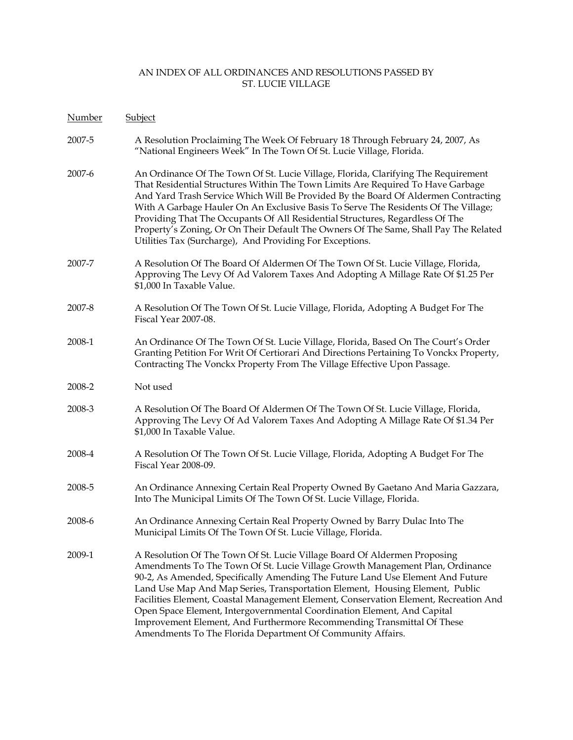| Number | Subject                                                                                                                                                                                                                                                                                                                                                                                                                                                                                                                                                                                                                                 |
|--------|-----------------------------------------------------------------------------------------------------------------------------------------------------------------------------------------------------------------------------------------------------------------------------------------------------------------------------------------------------------------------------------------------------------------------------------------------------------------------------------------------------------------------------------------------------------------------------------------------------------------------------------------|
| 2007-5 | A Resolution Proclaiming The Week Of February 18 Through February 24, 2007, As<br>"National Engineers Week" In The Town Of St. Lucie Village, Florida.                                                                                                                                                                                                                                                                                                                                                                                                                                                                                  |
| 2007-6 | An Ordinance Of The Town Of St. Lucie Village, Florida, Clarifying The Requirement<br>That Residential Structures Within The Town Limits Are Required To Have Garbage<br>And Yard Trash Service Which Will Be Provided By the Board Of Aldermen Contracting<br>With A Garbage Hauler On An Exclusive Basis To Serve The Residents Of The Village;<br>Providing That The Occupants Of All Residential Structures, Regardless Of The<br>Property's Zoning, Or On Their Default The Owners Of The Same, Shall Pay The Related<br>Utilities Tax (Surcharge), And Providing For Exceptions.                                                  |
| 2007-7 | A Resolution Of The Board Of Aldermen Of The Town Of St. Lucie Village, Florida,<br>Approving The Levy Of Ad Valorem Taxes And Adopting A Millage Rate Of \$1.25 Per<br>\$1,000 In Taxable Value.                                                                                                                                                                                                                                                                                                                                                                                                                                       |
| 2007-8 | A Resolution Of The Town Of St. Lucie Village, Florida, Adopting A Budget For The<br>Fiscal Year 2007-08.                                                                                                                                                                                                                                                                                                                                                                                                                                                                                                                               |
| 2008-1 | An Ordinance Of The Town Of St. Lucie Village, Florida, Based On The Court's Order<br>Granting Petition For Writ Of Certiorari And Directions Pertaining To Vonckx Property,<br>Contracting The Vonckx Property From The Village Effective Upon Passage.                                                                                                                                                                                                                                                                                                                                                                                |
| 2008-2 | Not used                                                                                                                                                                                                                                                                                                                                                                                                                                                                                                                                                                                                                                |
| 2008-3 | A Resolution Of The Board Of Aldermen Of The Town Of St. Lucie Village, Florida,<br>Approving The Levy Of Ad Valorem Taxes And Adopting A Millage Rate Of \$1.34 Per<br>\$1,000 In Taxable Value.                                                                                                                                                                                                                                                                                                                                                                                                                                       |
| 2008-4 | A Resolution Of The Town Of St. Lucie Village, Florida, Adopting A Budget For The<br>Fiscal Year 2008-09.                                                                                                                                                                                                                                                                                                                                                                                                                                                                                                                               |
| 2008-5 | An Ordinance Annexing Certain Real Property Owned By Gaetano And Maria Gazzara,<br>Into The Municipal Limits Of The Town Of St. Lucie Village, Florida.                                                                                                                                                                                                                                                                                                                                                                                                                                                                                 |
| 2008-6 | An Ordinance Annexing Certain Real Property Owned by Barry Dulac Into The<br>Municipal Limits Of The Town Of St. Lucie Village, Florida.                                                                                                                                                                                                                                                                                                                                                                                                                                                                                                |
| 2009-1 | A Resolution Of The Town Of St. Lucie Village Board Of Aldermen Proposing<br>Amendments To The Town Of St. Lucie Village Growth Management Plan, Ordinance<br>90-2, As Amended, Specifically Amending The Future Land Use Element And Future<br>Land Use Map And Map Series, Transportation Element, Housing Element, Public<br>Facilities Element, Coastal Management Element, Conservation Element, Recreation And<br>Open Space Element, Intergovernmental Coordination Element, And Capital<br>Improvement Element, And Furthermore Recommending Transmittal Of These<br>Amendments To The Florida Department Of Community Affairs. |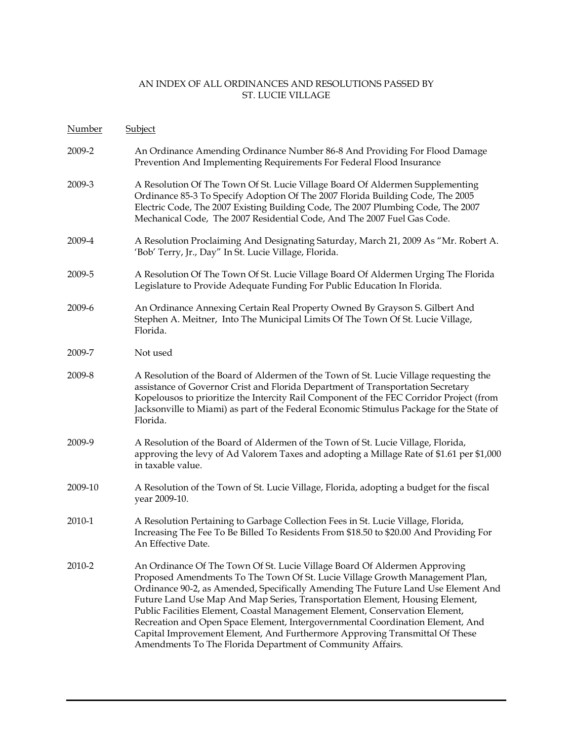| <b>Number</b> | Subject                                                                                                                                                                                                                                                                                                                                                                                                                                                                                                                                                                                                                                       |
|---------------|-----------------------------------------------------------------------------------------------------------------------------------------------------------------------------------------------------------------------------------------------------------------------------------------------------------------------------------------------------------------------------------------------------------------------------------------------------------------------------------------------------------------------------------------------------------------------------------------------------------------------------------------------|
| 2009-2        | An Ordinance Amending Ordinance Number 86-8 And Providing For Flood Damage<br>Prevention And Implementing Requirements For Federal Flood Insurance                                                                                                                                                                                                                                                                                                                                                                                                                                                                                            |
| 2009-3        | A Resolution Of The Town Of St. Lucie Village Board Of Aldermen Supplementing<br>Ordinance 85-3 To Specify Adoption Of The 2007 Florida Building Code, The 2005<br>Electric Code, The 2007 Existing Building Code, The 2007 Plumbing Code, The 2007<br>Mechanical Code, The 2007 Residential Code, And The 2007 Fuel Gas Code.                                                                                                                                                                                                                                                                                                                |
| 2009-4        | A Resolution Proclaiming And Designating Saturday, March 21, 2009 As "Mr. Robert A.<br>'Bob' Terry, Jr., Day" In St. Lucie Village, Florida.                                                                                                                                                                                                                                                                                                                                                                                                                                                                                                  |
| 2009-5        | A Resolution Of The Town Of St. Lucie Village Board Of Aldermen Urging The Florida<br>Legislature to Provide Adequate Funding For Public Education In Florida.                                                                                                                                                                                                                                                                                                                                                                                                                                                                                |
| 2009-6        | An Ordinance Annexing Certain Real Property Owned By Grayson S. Gilbert And<br>Stephen A. Meitner, Into The Municipal Limits Of The Town Of St. Lucie Village,<br>Florida.                                                                                                                                                                                                                                                                                                                                                                                                                                                                    |
| 2009-7        | Not used                                                                                                                                                                                                                                                                                                                                                                                                                                                                                                                                                                                                                                      |
| 2009-8        | A Resolution of the Board of Aldermen of the Town of St. Lucie Village requesting the<br>assistance of Governor Crist and Florida Department of Transportation Secretary<br>Kopelousos to prioritize the Intercity Rail Component of the FEC Corridor Project (from<br>Jacksonville to Miami) as part of the Federal Economic Stimulus Package for the State of<br>Florida.                                                                                                                                                                                                                                                                   |
| 2009-9        | A Resolution of the Board of Aldermen of the Town of St. Lucie Village, Florida,<br>approving the levy of Ad Valorem Taxes and adopting a Millage Rate of \$1.61 per \$1,000<br>in taxable value.                                                                                                                                                                                                                                                                                                                                                                                                                                             |
| 2009-10       | A Resolution of the Town of St. Lucie Village, Florida, adopting a budget for the fiscal<br>year 2009-10.                                                                                                                                                                                                                                                                                                                                                                                                                                                                                                                                     |
| 2010-1        | A Resolution Pertaining to Garbage Collection Fees in St. Lucie Village, Florida,<br>Increasing The Fee To Be Billed To Residents From \$18.50 to \$20.00 And Providing For<br>An Effective Date.                                                                                                                                                                                                                                                                                                                                                                                                                                             |
| 2010-2        | An Ordinance Of The Town Of St. Lucie Village Board Of Aldermen Approving<br>Proposed Amendments To The Town Of St. Lucie Village Growth Management Plan,<br>Ordinance 90-2, as Amended, Specifically Amending The Future Land Use Element And<br>Future Land Use Map And Map Series, Transportation Element, Housing Element,<br>Public Facilities Element, Coastal Management Element, Conservation Element,<br>Recreation and Open Space Element, Intergovernmental Coordination Element, And<br>Capital Improvement Element, And Furthermore Approving Transmittal Of These<br>Amendments To The Florida Department of Community Affairs. |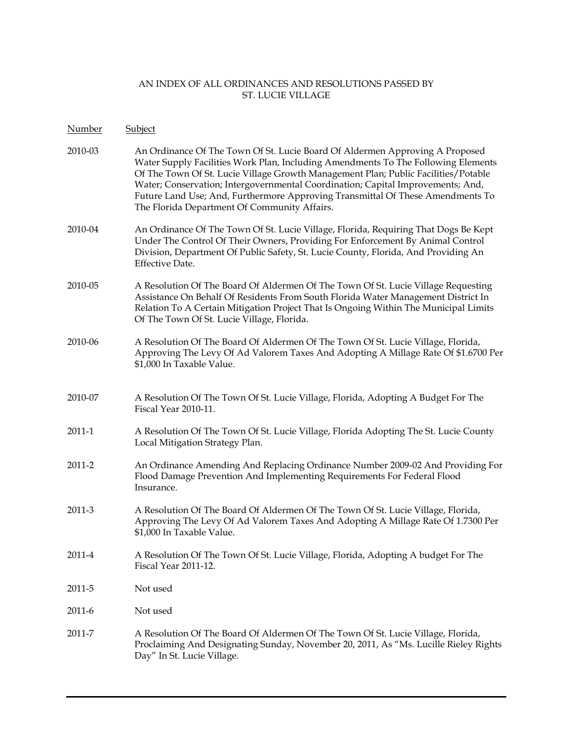- Number Subject
- 2010-03 An Ordinance Of The Town Of St. Lucie Board Of Aldermen Approving A Proposed Water Supply Facilities Work Plan, Including Amendments To The Following Elements Of The Town Of St. Lucie Village Growth Management Plan; Public Facilities/Potable Water; Conservation; Intergovernmental Coordination; Capital Improvements; And, Future Land Use; And, Furthermore Approving Transmittal Of These Amendments To The Florida Department Of Community Affairs.
- 2010-04 An Ordinance Of The Town Of St. Lucie Village, Florida, Requiring That Dogs Be Kept Under The Control Of Their Owners, Providing For Enforcement By Animal Control Division, Department Of Public Safety, St. Lucie County, Florida, And Providing An Effective Date.
- 2010-05 A Resolution Of The Board Of Aldermen Of The Town Of St. Lucie Village Requesting Assistance On Behalf Of Residents From South Florida Water Management District In Relation To A Certain Mitigation Project That Is Ongoing Within The Municipal Limits Of The Town Of St. Lucie Village, Florida.
- 2010-06 A Resolution Of The Board Of Aldermen Of The Town Of St. Lucie Village, Florida, Approving The Levy Of Ad Valorem Taxes And Adopting A Millage Rate Of \$1.6700 Per \$1,000 In Taxable Value.
- 2010-07 A Resolution Of The Town Of St. Lucie Village, Florida, Adopting A Budget For The Fiscal Year 2010-11.
- 2011-1 A Resolution Of The Town Of St. Lucie Village, Florida Adopting The St. Lucie County Local Mitigation Strategy Plan.
- 2011-2 An Ordinance Amending And Replacing Ordinance Number 2009-02 And Providing For Flood Damage Prevention And Implementing Requirements For Federal Flood Insurance.
- 2011-3 A Resolution Of The Board Of Aldermen Of The Town Of St. Lucie Village, Florida, Approving The Levy Of Ad Valorem Taxes And Adopting A Millage Rate Of 1.7300 Per \$1,000 In Taxable Value.
- 2011-4 A Resolution Of The Town Of St. Lucie Village, Florida, Adopting A budget For The Fiscal Year 2011-12.
- 2011-5 Not used
- 2011-6 Not used
- 2011-7 A Resolution Of The Board Of Aldermen Of The Town Of St. Lucie Village, Florida, Proclaiming And Designating Sunday, November 20, 2011, As "Ms. Lucille Rieley Rights Day" In St. Lucie Village.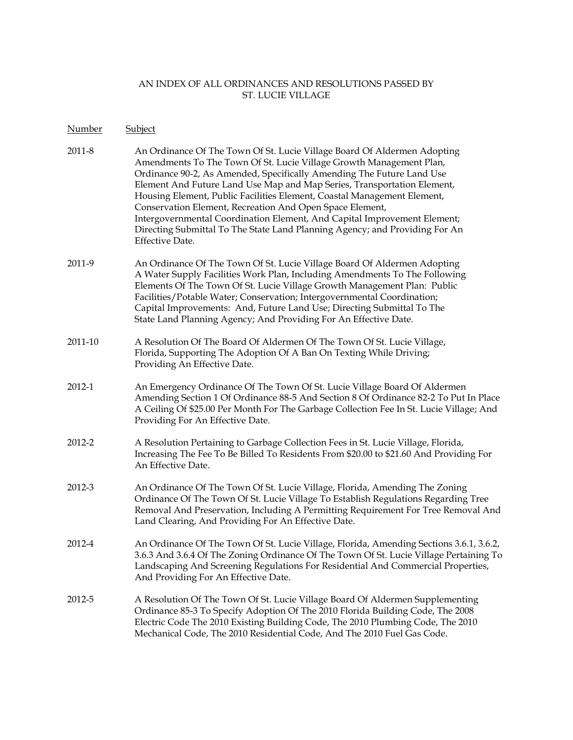Number Subject

| 2011-8 | An Ordinance Of The Town Of St. Lucie Village Board Of Aldermen Adopting    |
|--------|-----------------------------------------------------------------------------|
|        | Amendments To The Town Of St. Lucie Village Growth Management Plan,         |
|        | Ordinance 90-2, As Amended, Specifically Amending The Future Land Use       |
|        | Element And Future Land Use Map and Map Series, Transportation Element,     |
|        | Housing Element, Public Facilities Element, Coastal Management Element,     |
|        | Conservation Element, Recreation And Open Space Element,                    |
|        | Intergovernmental Coordination Element, And Capital Improvement Element;    |
|        | Directing Submittal To The State Land Planning Agency; and Providing For An |
|        | Effective Date.                                                             |
|        |                                                                             |
| 2011-9 | An Ordinance Of The Town Of St. Lucie Village Board Of Aldermen Adopting    |

- A Water Supply Facilities Work Plan, Including Amendments To The Following Elements Of The Town Of St. Lucie Village Growth Management Plan: Public Facilities/Potable Water; Conservation; Intergovernmental Coordination; Capital Improvements: And, Future Land Use; Directing Submittal To The State Land Planning Agency; And Providing For An Effective Date.
- 2011-10 A Resolution Of The Board Of Aldermen Of The Town Of St. Lucie Village, Florida, Supporting The Adoption Of A Ban On Texting While Driving; Providing An Effective Date.
- 2012-1 An Emergency Ordinance Of The Town Of St. Lucie Village Board Of Aldermen Amending Section 1 Of Ordinance 88-5 And Section 8 Of Ordinance 82-2 To Put In Place A Ceiling Of \$25.00 Per Month For The Garbage Collection Fee In St. Lucie Village; And Providing For An Effective Date.
- 2012-2 A Resolution Pertaining to Garbage Collection Fees in St. Lucie Village, Florida, Increasing The Fee To Be Billed To Residents From \$20.00 to \$21.60 And Providing For An Effective Date.
- 2012-3 An Ordinance Of The Town Of St. Lucie Village, Florida, Amending The Zoning Ordinance Of The Town Of St. Lucie Village To Establish Regulations Regarding Tree Removal And Preservation, Including A Permitting Requirement For Tree Removal And Land Clearing, And Providing For An Effective Date.
- 2012-4 An Ordinance Of The Town Of St. Lucie Village, Florida, Amending Sections 3.6.1, 3.6.2, 3.6.3 And 3.6.4 Of The Zoning Ordinance Of The Town Of St. Lucie Village Pertaining To Landscaping And Screening Regulations For Residential And Commercial Properties, And Providing For An Effective Date.
- 2012-5 A Resolution Of The Town Of St. Lucie Village Board Of Aldermen Supplementing Ordinance 85-3 To Specify Adoption Of The 2010 Florida Building Code, The 2008 Electric Code The 2010 Existing Building Code, The 2010 Plumbing Code, The 2010 Mechanical Code, The 2010 Residential Code, And The 2010 Fuel Gas Code.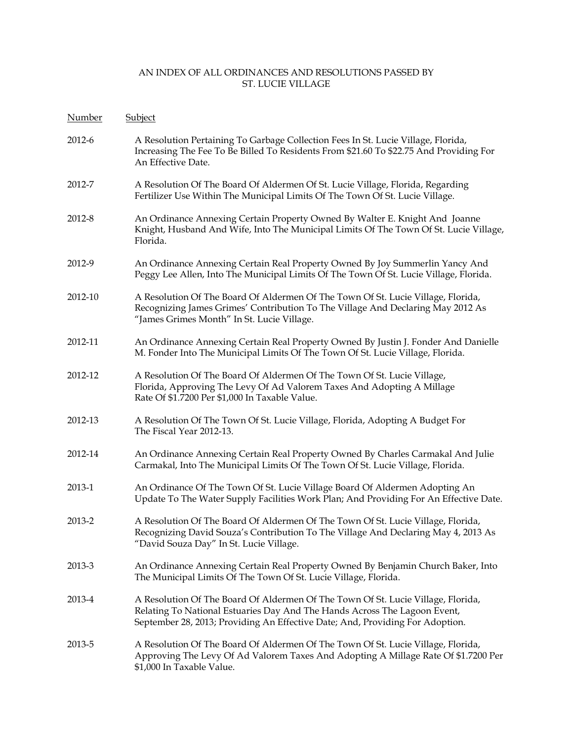| Number  | <b>Subject</b>                                                                                                                                                                                                                                 |
|---------|------------------------------------------------------------------------------------------------------------------------------------------------------------------------------------------------------------------------------------------------|
| 2012-6  | A Resolution Pertaining To Garbage Collection Fees In St. Lucie Village, Florida,<br>Increasing The Fee To Be Billed To Residents From \$21.60 To \$22.75 And Providing For<br>An Effective Date.                                              |
| 2012-7  | A Resolution Of The Board Of Aldermen Of St. Lucie Village, Florida, Regarding<br>Fertilizer Use Within The Municipal Limits Of The Town Of St. Lucie Village.                                                                                 |
| 2012-8  | An Ordinance Annexing Certain Property Owned By Walter E. Knight And Joanne<br>Knight, Husband And Wife, Into The Municipal Limits Of The Town Of St. Lucie Village,<br>Florida.                                                               |
| 2012-9  | An Ordinance Annexing Certain Real Property Owned By Joy Summerlin Yancy And<br>Peggy Lee Allen, Into The Municipal Limits Of The Town Of St. Lucie Village, Florida.                                                                          |
| 2012-10 | A Resolution Of The Board Of Aldermen Of The Town Of St. Lucie Village, Florida,<br>Recognizing James Grimes' Contribution To The Village And Declaring May 2012 As<br>"James Grimes Month" In St. Lucie Village.                              |
| 2012-11 | An Ordinance Annexing Certain Real Property Owned By Justin J. Fonder And Danielle<br>M. Fonder Into The Municipal Limits Of The Town Of St. Lucie Village, Florida.                                                                           |
| 2012-12 | A Resolution Of The Board Of Aldermen Of The Town Of St. Lucie Village,<br>Florida, Approving The Levy Of Ad Valorem Taxes And Adopting A Millage<br>Rate Of \$1.7200 Per \$1,000 In Taxable Value.                                            |
| 2012-13 | A Resolution Of The Town Of St. Lucie Village, Florida, Adopting A Budget For<br>The Fiscal Year 2012-13.                                                                                                                                      |
| 2012-14 | An Ordinance Annexing Certain Real Property Owned By Charles Carmakal And Julie<br>Carmakal, Into The Municipal Limits Of The Town Of St. Lucie Village, Florida.                                                                              |
| 2013-1  | An Ordinance Of The Town Of St. Lucie Village Board Of Aldermen Adopting An<br>Update To The Water Supply Facilities Work Plan; And Providing For An Effective Date.                                                                           |
| 2013-2  | A Resolution Of The Board Of Aldermen Of The Town Of St. Lucie Village, Florida,<br>Recognizing David Souza's Contribution To The Village And Declaring May 4, 2013 As<br>"David Souza Day" In St. Lucie Village.                              |
| 2013-3  | An Ordinance Annexing Certain Real Property Owned By Benjamin Church Baker, Into<br>The Municipal Limits Of The Town Of St. Lucie Village, Florida.                                                                                            |
| 2013-4  | A Resolution Of The Board Of Aldermen Of The Town Of St. Lucie Village, Florida,<br>Relating To National Estuaries Day And The Hands Across The Lagoon Event,<br>September 28, 2013; Providing An Effective Date; And, Providing For Adoption. |
| 2013-5  | A Resolution Of The Board Of Aldermen Of The Town Of St. Lucie Village, Florida,<br>Approving The Levy Of Ad Valorem Taxes And Adopting A Millage Rate Of \$1.7200 Per<br>\$1,000 In Taxable Value.                                            |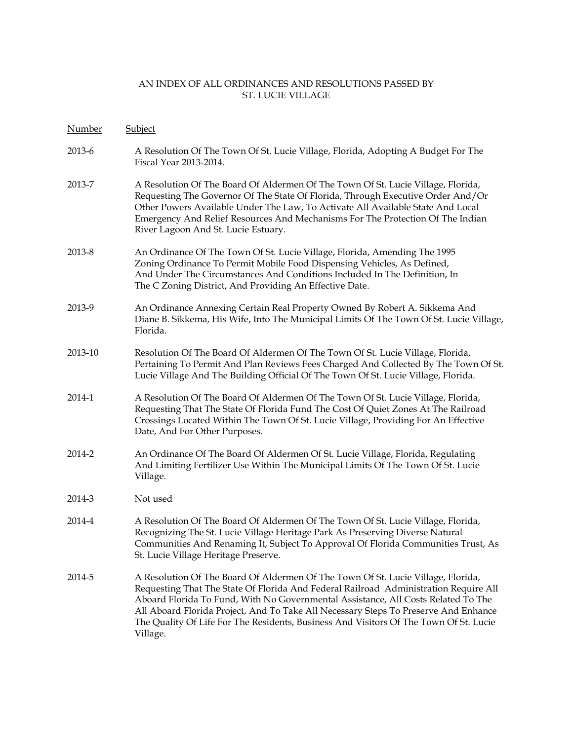| Number  | Subject                                                                                                                                                                                                                                                                                                                                                                                                                                                   |
|---------|-----------------------------------------------------------------------------------------------------------------------------------------------------------------------------------------------------------------------------------------------------------------------------------------------------------------------------------------------------------------------------------------------------------------------------------------------------------|
| 2013-6  | A Resolution Of The Town Of St. Lucie Village, Florida, Adopting A Budget For The<br>Fiscal Year 2013-2014.                                                                                                                                                                                                                                                                                                                                               |
| 2013-7  | A Resolution Of The Board Of Aldermen Of The Town Of St. Lucie Village, Florida,<br>Requesting The Governor Of The State Of Florida, Through Executive Order And/Or<br>Other Powers Available Under The Law, To Activate All Available State And Local<br>Emergency And Relief Resources And Mechanisms For The Protection Of The Indian<br>River Lagoon And St. Lucie Estuary.                                                                           |
| 2013-8  | An Ordinance Of The Town Of St. Lucie Village, Florida, Amending The 1995<br>Zoning Ordinance To Permit Mobile Food Dispensing Vehicles, As Defined,<br>And Under The Circumstances And Conditions Included In The Definition, In<br>The C Zoning District, And Providing An Effective Date.                                                                                                                                                              |
| 2013-9  | An Ordinance Annexing Certain Real Property Owned By Robert A. Sikkema And<br>Diane B. Sikkema, His Wife, Into The Municipal Limits Of The Town Of St. Lucie Village,<br>Florida.                                                                                                                                                                                                                                                                         |
| 2013-10 | Resolution Of The Board Of Aldermen Of The Town Of St. Lucie Village, Florida,<br>Pertaining To Permit And Plan Reviews Fees Charged And Collected By The Town Of St.<br>Lucie Village And The Building Official Of The Town Of St. Lucie Village, Florida.                                                                                                                                                                                               |
| 2014-1  | A Resolution Of The Board Of Aldermen Of The Town Of St. Lucie Village, Florida,<br>Requesting That The State Of Florida Fund The Cost Of Quiet Zones At The Railroad<br>Crossings Located Within The Town Of St. Lucie Village, Providing For An Effective<br>Date, And For Other Purposes.                                                                                                                                                              |
| 2014-2  | An Ordinance Of The Board Of Aldermen Of St. Lucie Village, Florida, Regulating<br>And Limiting Fertilizer Use Within The Municipal Limits Of The Town Of St. Lucie<br>Village.                                                                                                                                                                                                                                                                           |
| 2014-3  | Not used                                                                                                                                                                                                                                                                                                                                                                                                                                                  |
| 2014-4  | A Resolution Of The Board Of Aldermen Of The Town Of St. Lucie Village, Florida,<br>Recognizing The St. Lucie Village Heritage Park As Preserving Diverse Natural<br>Communities And Renaming It, Subject To Approval Of Florida Communities Trust, As<br>St. Lucie Village Heritage Preserve.                                                                                                                                                            |
| 2014-5  | A Resolution Of The Board Of Aldermen Of The Town Of St. Lucie Village, Florida,<br>Requesting That The State Of Florida And Federal Railroad Administration Require All<br>Aboard Florida To Fund, With No Governmental Assistance, All Costs Related To The<br>All Aboard Florida Project, And To Take All Necessary Steps To Preserve And Enhance<br>The Quality Of Life For The Residents, Business And Visitors Of The Town Of St. Lucie<br>Village. |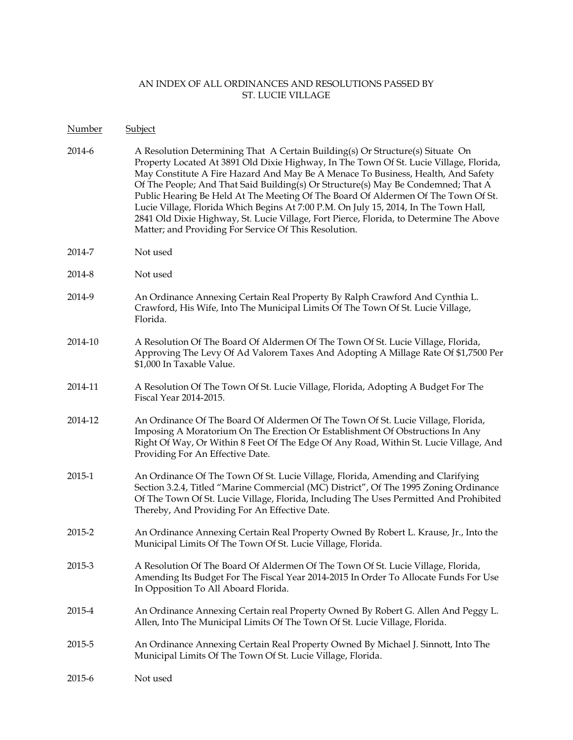#### Number Subject

- 2014-6 A Resolution Determining That A Certain Building(s) Or Structure(s) Situate On Property Located At 3891 Old Dixie Highway, In The Town Of St. Lucie Village, Florida, May Constitute A Fire Hazard And May Be A Menace To Business, Health, And Safety Of The People; And That Said Building(s) Or Structure(s) May Be Condemned; That A Public Hearing Be Held At The Meeting Of The Board Of Aldermen Of The Town Of St. Lucie Village, Florida Which Begins At 7:00 P.M. On July 15, 2014, In The Town Hall, 2841 Old Dixie Highway, St. Lucie Village, Fort Pierce, Florida, to Determine The Above Matter; and Providing For Service Of This Resolution.
- 2014-7 Not used
- 2014-8 Not used
- 2014-9 An Ordinance Annexing Certain Real Property By Ralph Crawford And Cynthia L. Crawford, His Wife, Into The Municipal Limits Of The Town Of St. Lucie Village, Florida.
- 2014-10 A Resolution Of The Board Of Aldermen Of The Town Of St. Lucie Village, Florida, Approving The Levy Of Ad Valorem Taxes And Adopting A Millage Rate Of \$1,7500 Per \$1,000 In Taxable Value.
- 2014-11 A Resolution Of The Town Of St. Lucie Village, Florida, Adopting A Budget For The Fiscal Year 2014-2015.
- 2014-12 An Ordinance Of The Board Of Aldermen Of The Town Of St. Lucie Village, Florida, Imposing A Moratorium On The Erection Or Establishment Of Obstructions In Any Right Of Way, Or Within 8 Feet Of The Edge Of Any Road, Within St. Lucie Village, And Providing For An Effective Date.
- 2015-1 An Ordinance Of The Town Of St. Lucie Village, Florida, Amending and Clarifying Section 3.2.4, Titled "Marine Commercial (MC) District", Of The 1995 Zoning Ordinance Of The Town Of St. Lucie Village, Florida, Including The Uses Permitted And Prohibited Thereby, And Providing For An Effective Date.
- 2015-2 An Ordinance Annexing Certain Real Property Owned By Robert L. Krause, Jr., Into the Municipal Limits Of The Town Of St. Lucie Village, Florida.
- 2015-3 A Resolution Of The Board Of Aldermen Of The Town Of St. Lucie Village, Florida, Amending Its Budget For The Fiscal Year 2014-2015 In Order To Allocate Funds For Use In Opposition To All Aboard Florida.
- 2015-4 An Ordinance Annexing Certain real Property Owned By Robert G. Allen And Peggy L. Allen, Into The Municipal Limits Of The Town Of St. Lucie Village, Florida.
- 2015-5 An Ordinance Annexing Certain Real Property Owned By Michael J. Sinnott, Into The Municipal Limits Of The Town Of St. Lucie Village, Florida.
- 2015-6 Not used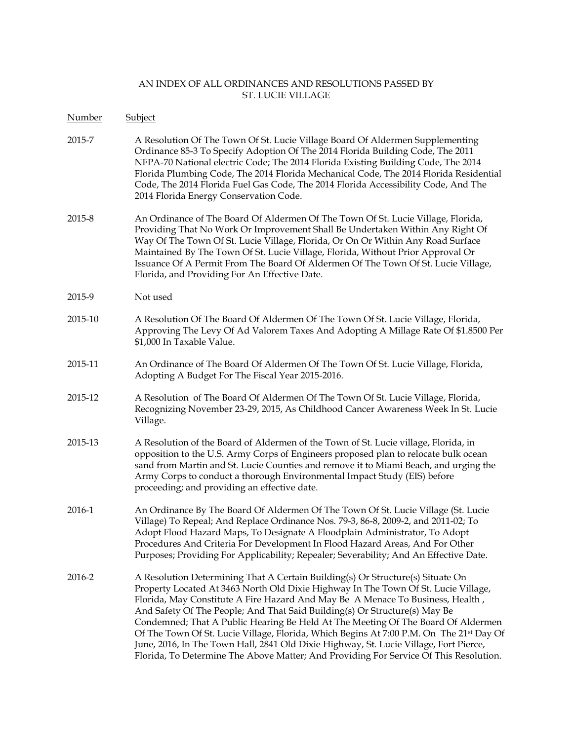| Number  | Subject                                                                                                                                                                                                                                                                                                                                                                                                                                                                                                                                                                                                                                                                                                           |
|---------|-------------------------------------------------------------------------------------------------------------------------------------------------------------------------------------------------------------------------------------------------------------------------------------------------------------------------------------------------------------------------------------------------------------------------------------------------------------------------------------------------------------------------------------------------------------------------------------------------------------------------------------------------------------------------------------------------------------------|
| 2015-7  | A Resolution Of The Town Of St. Lucie Village Board Of Aldermen Supplementing<br>Ordinance 85-3 To Specify Adoption Of The 2014 Florida Building Code, The 2011<br>NFPA-70 National electric Code; The 2014 Florida Existing Building Code, The 2014<br>Florida Plumbing Code, The 2014 Florida Mechanical Code, The 2014 Florida Residential<br>Code, The 2014 Florida Fuel Gas Code, The 2014 Florida Accessibility Code, And The<br>2014 Florida Energy Conservation Code.                                                                                                                                                                                                                                     |
| 2015-8  | An Ordinance of The Board Of Aldermen Of The Town Of St. Lucie Village, Florida,<br>Providing That No Work Or Improvement Shall Be Undertaken Within Any Right Of<br>Way Of The Town Of St. Lucie Village, Florida, Or On Or Within Any Road Surface<br>Maintained By The Town Of St. Lucie Village, Florida, Without Prior Approval Or<br>Issuance Of A Permit From The Board Of Aldermen Of The Town Of St. Lucie Village,<br>Florida, and Providing For An Effective Date.                                                                                                                                                                                                                                     |
| 2015-9  | Not used                                                                                                                                                                                                                                                                                                                                                                                                                                                                                                                                                                                                                                                                                                          |
| 2015-10 | A Resolution Of The Board Of Aldermen Of The Town Of St. Lucie Village, Florida,<br>Approving The Levy Of Ad Valorem Taxes And Adopting A Millage Rate Of \$1.8500 Per<br>\$1,000 In Taxable Value.                                                                                                                                                                                                                                                                                                                                                                                                                                                                                                               |
| 2015-11 | An Ordinance of The Board Of Aldermen Of The Town Of St. Lucie Village, Florida,<br>Adopting A Budget For The Fiscal Year 2015-2016.                                                                                                                                                                                                                                                                                                                                                                                                                                                                                                                                                                              |
| 2015-12 | A Resolution of The Board Of Aldermen Of The Town Of St. Lucie Village, Florida,<br>Recognizing November 23-29, 2015, As Childhood Cancer Awareness Week In St. Lucie<br>Village.                                                                                                                                                                                                                                                                                                                                                                                                                                                                                                                                 |
| 2015-13 | A Resolution of the Board of Aldermen of the Town of St. Lucie village, Florida, in<br>opposition to the U.S. Army Corps of Engineers proposed plan to relocate bulk ocean<br>sand from Martin and St. Lucie Counties and remove it to Miami Beach, and urging the<br>Army Corps to conduct a thorough Environmental Impact Study (EIS) before<br>proceeding; and providing an effective date.                                                                                                                                                                                                                                                                                                                    |
| 2016-1  | An Ordinance By The Board Of Aldermen Of The Town Of St. Lucie Village (St. Lucie<br>Village) To Repeal; And Replace Ordinance Nos. 79-3, 86-8, 2009-2, and 2011-02; To<br>Adopt Flood Hazard Maps, To Designate A Floodplain Administrator, To Adopt<br>Procedures And Criteria For Development In Flood Hazard Areas, And For Other<br>Purposes; Providing For Applicability; Repealer; Severability; And An Effective Date.                                                                                                                                                                                                                                                                                    |
| 2016-2  | A Resolution Determining That A Certain Building(s) Or Structure(s) Situate On<br>Property Located At 3463 North Old Dixie Highway In The Town Of St. Lucie Village,<br>Florida, May Constitute A Fire Hazard And May Be A Menace To Business, Health,<br>And Safety Of The People; And That Said Building(s) Or Structure(s) May Be<br>Condemned; That A Public Hearing Be Held At The Meeting Of The Board Of Aldermen<br>Of The Town Of St. Lucie Village, Florida, Which Begins At 7:00 P.M. On The 21 <sup>st</sup> Day Of<br>June, 2016, In The Town Hall, 2841 Old Dixie Highway, St. Lucie Village, Fort Pierce,<br>Florida, To Determine The Above Matter; And Providing For Service Of This Resolution. |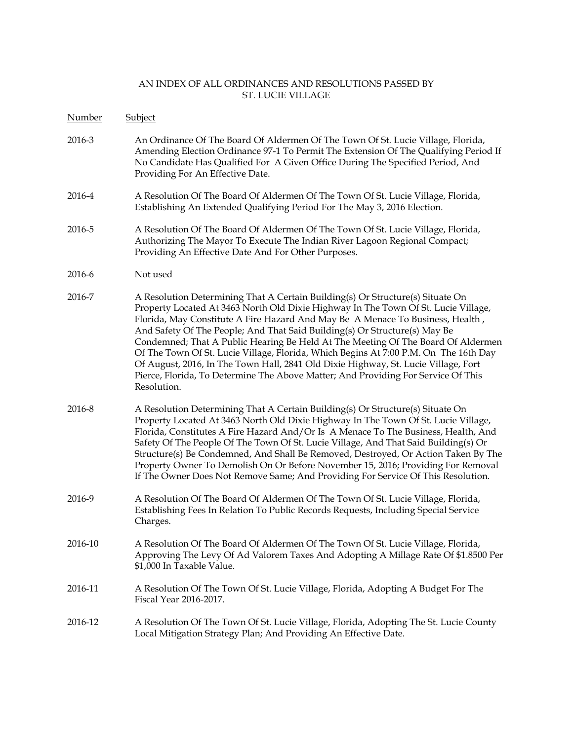| Number  | Subject                                                                                                                                                                                                                                                                                                                                                                                                                                                                                                                                                                                                                                                                                                    |
|---------|------------------------------------------------------------------------------------------------------------------------------------------------------------------------------------------------------------------------------------------------------------------------------------------------------------------------------------------------------------------------------------------------------------------------------------------------------------------------------------------------------------------------------------------------------------------------------------------------------------------------------------------------------------------------------------------------------------|
| 2016-3  | An Ordinance Of The Board Of Aldermen Of The Town Of St. Lucie Village, Florida,<br>Amending Election Ordinance 97-1 To Permit The Extension Of The Qualifying Period If<br>No Candidate Has Qualified For A Given Office During The Specified Period, And<br>Providing For An Effective Date.                                                                                                                                                                                                                                                                                                                                                                                                             |
| 2016-4  | A Resolution Of The Board Of Aldermen Of The Town Of St. Lucie Village, Florida,<br>Establishing An Extended Qualifying Period For The May 3, 2016 Election.                                                                                                                                                                                                                                                                                                                                                                                                                                                                                                                                               |
| 2016-5  | A Resolution Of The Board Of Aldermen Of The Town Of St. Lucie Village, Florida,<br>Authorizing The Mayor To Execute The Indian River Lagoon Regional Compact;<br>Providing An Effective Date And For Other Purposes.                                                                                                                                                                                                                                                                                                                                                                                                                                                                                      |
| 2016-6  | Not used                                                                                                                                                                                                                                                                                                                                                                                                                                                                                                                                                                                                                                                                                                   |
| 2016-7  | A Resolution Determining That A Certain Building(s) Or Structure(s) Situate On<br>Property Located At 3463 North Old Dixie Highway In The Town Of St. Lucie Village,<br>Florida, May Constitute A Fire Hazard And May Be A Menace To Business, Health,<br>And Safety Of The People; And That Said Building(s) Or Structure(s) May Be<br>Condemned; That A Public Hearing Be Held At The Meeting Of The Board Of Aldermen<br>Of The Town Of St. Lucie Village, Florida, Which Begins At 7:00 P.M. On The 16th Day<br>Of August, 2016, In The Town Hall, 2841 Old Dixie Highway, St. Lucie Village, Fort<br>Pierce, Florida, To Determine The Above Matter; And Providing For Service Of This<br>Resolution. |
| 2016-8  | A Resolution Determining That A Certain Building(s) Or Structure(s) Situate On<br>Property Located At 3463 North Old Dixie Highway In The Town Of St. Lucie Village,<br>Florida, Constitutes A Fire Hazard And/Or Is A Menace To The Business, Health, And<br>Safety Of The People Of The Town Of St. Lucie Village, And That Said Building(s) Or<br>Structure(s) Be Condemned, And Shall Be Removed, Destroyed, Or Action Taken By The<br>Property Owner To Demolish On Or Before November 15, 2016; Providing For Removal<br>If The Owner Does Not Remove Same; And Providing For Service Of This Resolution.                                                                                            |
| 2016-9  | A Resolution Of The Board Of Aldermen Of The Town Of St. Lucie Village, Florida,<br>Establishing Fees In Relation To Public Records Requests, Including Special Service<br>Charges.                                                                                                                                                                                                                                                                                                                                                                                                                                                                                                                        |
| 2016-10 | A Resolution Of The Board Of Aldermen Of The Town Of St. Lucie Village, Florida,<br>Approving The Levy Of Ad Valorem Taxes And Adopting A Millage Rate Of \$1.8500 Per<br>\$1,000 In Taxable Value.                                                                                                                                                                                                                                                                                                                                                                                                                                                                                                        |
| 2016-11 | A Resolution Of The Town Of St. Lucie Village, Florida, Adopting A Budget For The<br>Fiscal Year 2016-2017.                                                                                                                                                                                                                                                                                                                                                                                                                                                                                                                                                                                                |
| 2016-12 | A Resolution Of The Town Of St. Lucie Village, Florida, Adopting The St. Lucie County<br>Local Mitigation Strategy Plan; And Providing An Effective Date.                                                                                                                                                                                                                                                                                                                                                                                                                                                                                                                                                  |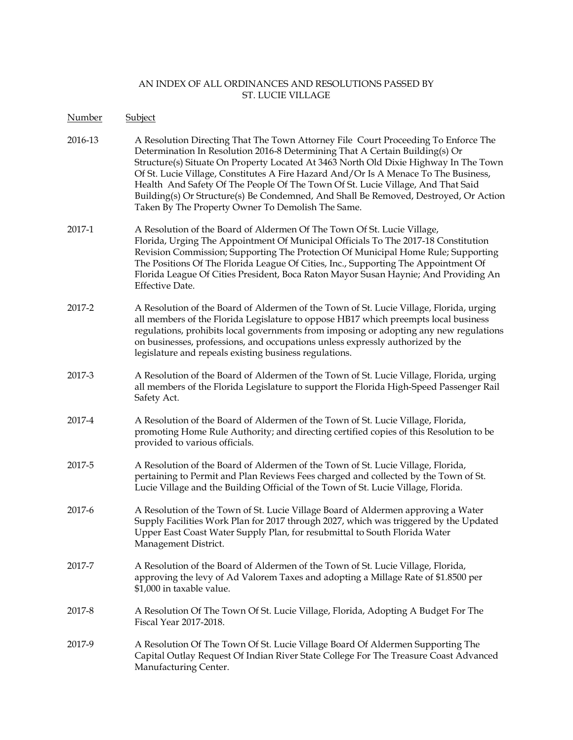Number Subject

- 2016-13 A Resolution Directing That The Town Attorney File Court Proceeding To Enforce The Determination In Resolution 2016-8 Determining That A Certain Building(s) Or Structure(s) Situate On Property Located At 3463 North Old Dixie Highway In The Town Of St. Lucie Village, Constitutes A Fire Hazard And/Or Is A Menace To The Business, Health And Safety Of The People Of The Town Of St. Lucie Village, And That Said Building(s) Or Structure(s) Be Condemned, And Shall Be Removed, Destroyed, Or Action Taken By The Property Owner To Demolish The Same.
- 2017-1 A Resolution of the Board of Aldermen Of The Town Of St. Lucie Village, Florida, Urging The Appointment Of Municipal Officials To The 2017-18 Constitution Revision Commission; Supporting The Protection Of Municipal Home Rule; Supporting The Positions Of The Florida League Of Cities, Inc., Supporting The Appointment Of Florida League Of Cities President, Boca Raton Mayor Susan Haynie; And Providing An Effective Date.
- 2017-2 A Resolution of the Board of Aldermen of the Town of St. Lucie Village, Florida, urging all members of the Florida Legislature to oppose HB17 which preempts local business regulations, prohibits local governments from imposing or adopting any new regulations on businesses, professions, and occupations unless expressly authorized by the legislature and repeals existing business regulations.
- 2017-3 A Resolution of the Board of Aldermen of the Town of St. Lucie Village, Florida, urging all members of the Florida Legislature to support the Florida High-Speed Passenger Rail Safety Act.
- 2017-4 A Resolution of the Board of Aldermen of the Town of St. Lucie Village, Florida, promoting Home Rule Authority; and directing certified copies of this Resolution to be provided to various officials.
- 2017-5 A Resolution of the Board of Aldermen of the Town of St. Lucie Village, Florida, pertaining to Permit and Plan Reviews Fees charged and collected by the Town of St. Lucie Village and the Building Official of the Town of St. Lucie Village, Florida.
- 2017-6 A Resolution of the Town of St. Lucie Village Board of Aldermen approving a Water Supply Facilities Work Plan for 2017 through 2027, which was triggered by the Updated Upper East Coast Water Supply Plan, for resubmittal to South Florida Water Management District.
- 2017-7 A Resolution of the Board of Aldermen of the Town of St. Lucie Village, Florida, approving the levy of Ad Valorem Taxes and adopting a Millage Rate of \$1.8500 per \$1,000 in taxable value.
- 2017-8 A Resolution Of The Town Of St. Lucie Village, Florida, Adopting A Budget For The Fiscal Year 2017-2018.
- 2017-9 A Resolution Of The Town Of St. Lucie Village Board Of Aldermen Supporting The Capital Outlay Request Of Indian River State College For The Treasure Coast Advanced Manufacturing Center.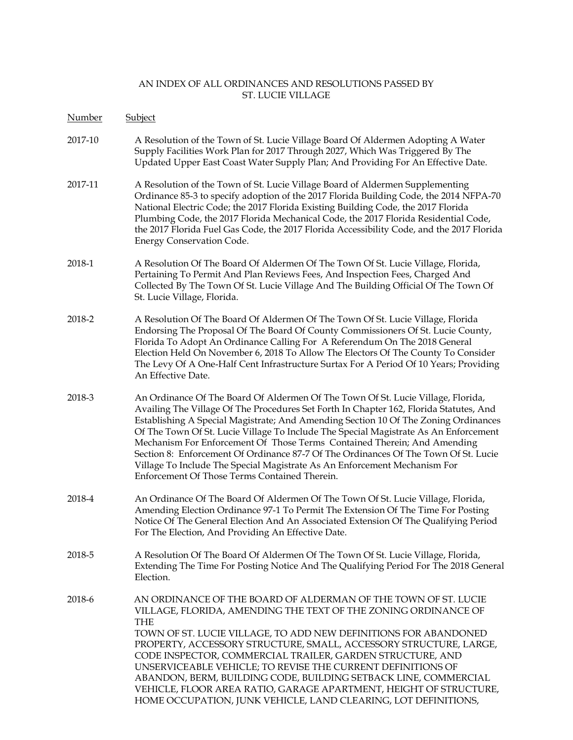Number Subject 2017-10 A Resolution of the Town of St. Lucie Village Board Of Aldermen Adopting A Water Supply Facilities Work Plan for 2017 Through 2027, Which Was Triggered By The Updated Upper East Coast Water Supply Plan; And Providing For An Effective Date. 2017-11 A Resolution of the Town of St. Lucie Village Board of Aldermen Supplementing Ordinance 85-3 to specify adoption of the 2017 Florida Building Code, the 2014 NFPA-70 National Electric Code; the 2017 Florida Existing Building Code, the 2017 Florida Plumbing Code, the 2017 Florida Mechanical Code, the 2017 Florida Residential Code, the 2017 Florida Fuel Gas Code, the 2017 Florida Accessibility Code, and the 2017 Florida Energy Conservation Code. 2018-1 A Resolution Of The Board Of Aldermen Of The Town Of St. Lucie Village, Florida, Pertaining To Permit And Plan Reviews Fees, And Inspection Fees, Charged And Collected By The Town Of St. Lucie Village And The Building Official Of The Town Of St. Lucie Village, Florida. 2018-2 A Resolution Of The Board Of Aldermen Of The Town Of St. Lucie Village, Florida Endorsing The Proposal Of The Board Of County Commissioners Of St. Lucie County, Florida To Adopt An Ordinance Calling For A Referendum On The 2018 General Election Held On November 6, 2018 To Allow The Electors Of The County To Consider The Levy Of A One-Half Cent Infrastructure Surtax For A Period Of 10 Years; Providing An Effective Date. 2018-3 An Ordinance Of The Board Of Aldermen Of The Town Of St. Lucie Village, Florida, Availing The Village Of The Procedures Set Forth In Chapter 162, Florida Statutes, And Establishing A Special Magistrate; And Amending Section 10 Of The Zoning Ordinances Of The Town Of St. Lucie Village To Include The Special Magistrate As An Enforcement Mechanism For Enforcement Of Those Terms Contained Therein; And Amending Section 8: Enforcement Of Ordinance 87-7 Of The Ordinances Of The Town Of St. Lucie Village To Include The Special Magistrate As An Enforcement Mechanism For Enforcement Of Those Terms Contained Therein. 2018-4 An Ordinance Of The Board Of Aldermen Of The Town Of St. Lucie Village, Florida, Amending Election Ordinance 97-1 To Permit The Extension Of The Time For Posting Notice Of The General Election And An Associated Extension Of The Qualifying Period For The Election, And Providing An Effective Date. 2018-5 A Resolution Of The Board Of Aldermen Of The Town Of St. Lucie Village, Florida, Extending The Time For Posting Notice And The Qualifying Period For The 2018 General Election. 2018-6 AN ORDINANCE OF THE BOARD OF ALDERMAN OF THE TOWN OF ST. LUCIE VILLAGE, FLORIDA, AMENDING THE TEXT OF THE ZONING ORDINANCE OF THE TOWN OF ST. LUCIE VILLAGE, TO ADD NEW DEFINITIONS FOR ABANDONED PROPERTY, ACCESSORY STRUCTURE, SMALL, ACCESSORY STRUCTURE, LARGE, CODE INSPECTOR, COMMERCIAL TRAILER, GARDEN STRUCTURE, AND UNSERVICEABLE VEHICLE; TO REVISE THE CURRENT DEFINITIONS OF ABANDON, BERM, BUILDING CODE, BUILDING SETBACK LINE, COMMERCIAL VEHICLE, FLOOR AREA RATIO, GARAGE APARTMENT, HEIGHT OF STRUCTURE, HOME OCCUPATION, JUNK VEHICLE, LAND CLEARING, LOT DEFINITIONS,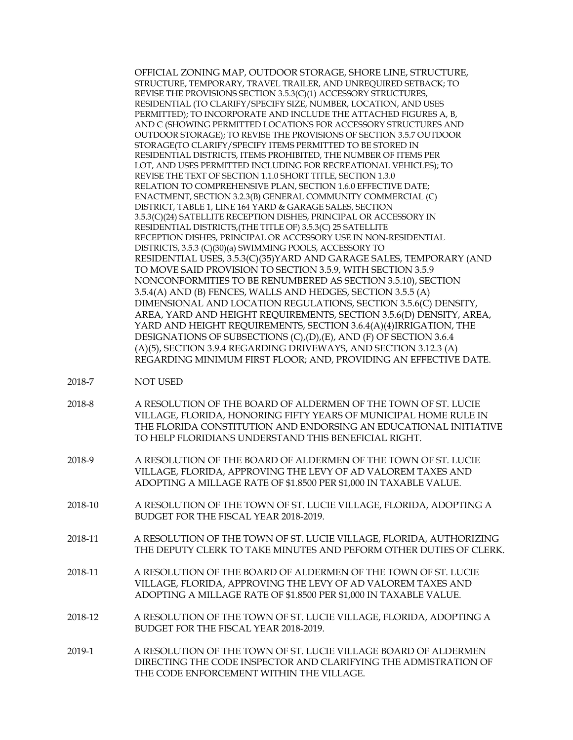OFFICIAL ZONING MAP, OUTDOOR STORAGE, SHORE LINE, STRUCTURE, STRUCTURE, TEMPORARY, TRAVEL TRAILER, AND UNREQUIRED SETBACK; TO REVISE THE PROVISIONS SECTION 3.5.3(C)(1) ACCESSORY STRUCTURES, RESIDENTIAL (TO CLARIFY/SPECIFY SIZE, NUMBER, LOCATION, AND USES PERMITTED); TO INCORPORATE AND INCLUDE THE ATTACHED FIGURES A, B, AND C (SHOWING PERMITTED LOCATIONS FOR ACCESSORY STRUCTURES AND OUTDOOR STORAGE); TO REVISE THE PROVISIONS OF SECTION 3.5.7 OUTDOOR STORAGE(TO CLARIFY/SPECIFY ITEMS PERMITTED TO BE STORED IN RESIDENTIAL DISTRICTS, ITEMS PROHIBITED, THE NUMBER OF ITEMS PER LOT, AND USES PERMITTED INCLUDING FOR RECREATIONAL VEHICLES); TO REVISE THE TEXT OF SECTION 1.1.0 SHORT TITLE, SECTION 1.3.0 RELATION TO COMPREHENSIVE PLAN, SECTION 1.6.0 EFFECTIVE DATE; ENACTMENT, SECTION 3.2.3(B) GENERAL COMMUNITY COMMERCIAL (C) DISTRICT, TABLE 1, LINE 164 YARD & GARAGE SALES, SECTION 3.5.3(C)(24) SATELLITE RECEPTION DISHES, PRINCIPAL OR ACCESSORY IN RESIDENTIAL DISTRICTS,(THE TITLE OF) 3.5.3(C) 25 SATELLITE RECEPTION DISHES, PRINCIPAL OR ACCESSORY USE IN NON-RESIDENTIAL DISTRICTS, 3.5.3 (C)(30)(a) SWIMMING POOLS, ACCESSORY TO RESIDENTIAL USES, 3.5.3(C)(35)YARD AND GARAGE SALES, TEMPORARY (AND TO MOVE SAID PROVISION TO SECTION 3.5.9, WITH SECTION 3.5.9 NONCONFORMITIES TO BE RENUMBERED AS SECTION 3.5.10), SECTION 3.5.4(A) AND (B) FENCES, WALLS AND HEDGES, SECTION 3.5.5 (A) DIMENSIONAL AND LOCATION REGULATIONS, SECTION 3.5.6(C) DENSITY, AREA, YARD AND HEIGHT REQUIREMENTS, SECTION 3.5.6(D) DENSITY, AREA, YARD AND HEIGHT REQUIREMENTS, SECTION 3.6.4(A)(4)IRRIGATION, THE DESIGNATIONS OF SUBSECTIONS (C),(D),(E), AND (F) OF SECTION 3.6.4 (A)(5), SECTION 3.9.4 REGARDING DRIVEWAYS, AND SECTION 3.12.3 (A) REGARDING MINIMUM FIRST FLOOR; AND, PROVIDING AN EFFECTIVE DATE.

- 2018-7 NOT USED
- 2018-8 A RESOLUTION OF THE BOARD OF ALDERMEN OF THE TOWN OF ST. LUCIE VILLAGE, FLORIDA, HONORING FIFTY YEARS OF MUNICIPAL HOME RULE IN THE FLORIDA CONSTITUTION AND ENDORSING AN EDUCATIONAL INITIATIVE TO HELP FLORIDIANS UNDERSTAND THIS BENEFICIAL RIGHT.
- 2018-9 A RESOLUTION OF THE BOARD OF ALDERMEN OF THE TOWN OF ST. LUCIE VILLAGE, FLORIDA, APPROVING THE LEVY OF AD VALOREM TAXES AND ADOPTING A MILLAGE RATE OF \$1.8500 PER \$1,000 IN TAXABLE VALUE.
- 2018-10 A RESOLUTION OF THE TOWN OF ST. LUCIE VILLAGE, FLORIDA, ADOPTING A BUDGET FOR THE FISCAL YEAR 2018-2019.
- 2018-11 A RESOLUTION OF THE TOWN OF ST. LUCIE VILLAGE, FLORIDA, AUTHORIZING THE DEPUTY CLERK TO TAKE MINUTES AND PEFORM OTHER DUTIES OF CLERK.
- 2018-11 A RESOLUTION OF THE BOARD OF ALDERMEN OF THE TOWN OF ST. LUCIE VILLAGE, FLORIDA, APPROVING THE LEVY OF AD VALOREM TAXES AND ADOPTING A MILLAGE RATE OF \$1.8500 PER \$1,000 IN TAXABLE VALUE.
- 2018-12 A RESOLUTION OF THE TOWN OF ST. LUCIE VILLAGE, FLORIDA, ADOPTING A BUDGET FOR THE FISCAL YEAR 2018-2019.
- 2019-1 A RESOLUTION OF THE TOWN OF ST. LUCIE VILLAGE BOARD OF ALDERMEN DIRECTING THE CODE INSPECTOR AND CLARIFYING THE ADMISTRATION OF THE CODE ENFORCEMENT WITHIN THE VILLAGE.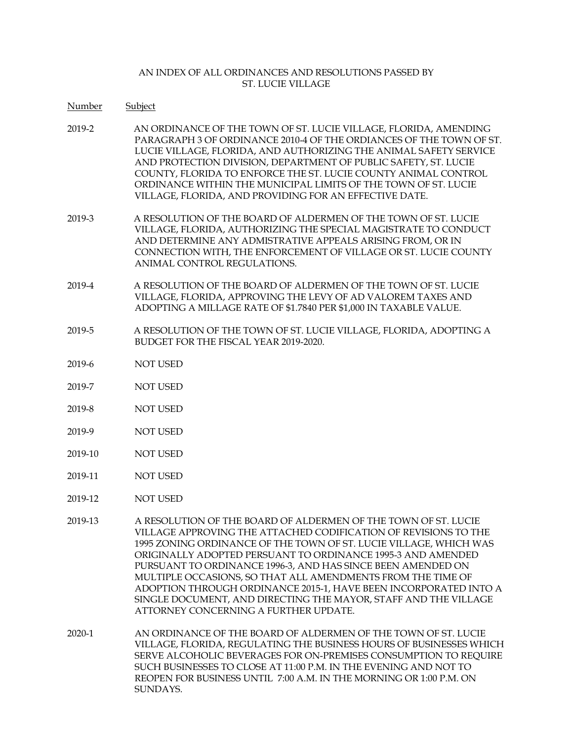- Number Subject
- 2019-2 AN ORDINANCE OF THE TOWN OF ST. LUCIE VILLAGE, FLORIDA, AMENDING PARAGRAPH 3 OF ORDINANCE 2010-4 OF THE ORDIANCES OF THE TOWN OF ST. LUCIE VILLAGE, FLORIDA, AND AUTHORIZING THE ANIMAL SAFETY SERVICE AND PROTECTION DIVISION, DEPARTMENT OF PUBLIC SAFETY, ST. LUCIE COUNTY, FLORIDA TO ENFORCE THE ST. LUCIE COUNTY ANIMAL CONTROL ORDINANCE WITHIN THE MUNICIPAL LIMITS OF THE TOWN OF ST. LUCIE VILLAGE, FLORIDA, AND PROVIDING FOR AN EFFECTIVE DATE.
- 2019-3 A RESOLUTION OF THE BOARD OF ALDERMEN OF THE TOWN OF ST. LUCIE VILLAGE, FLORIDA, AUTHORIZING THE SPECIAL MAGISTRATE TO CONDUCT AND DETERMINE ANY ADMISTRATIVE APPEALS ARISING FROM, OR IN CONNECTION WITH, THE ENFORCEMENT OF VILLAGE OR ST. LUCIE COUNTY ANIMAL CONTROL REGULATIONS.
- 2019-4 A RESOLUTION OF THE BOARD OF ALDERMEN OF THE TOWN OF ST. LUCIE VILLAGE, FLORIDA, APPROVING THE LEVY OF AD VALOREM TAXES AND ADOPTING A MILLAGE RATE OF \$1.7840 PER \$1,000 IN TAXABLE VALUE.
- 2019-5 A RESOLUTION OF THE TOWN OF ST. LUCIE VILLAGE, FLORIDA, ADOPTING A BUDGET FOR THE FISCAL YEAR 2019-2020.
- 2019-6 NOT USED
- 2019-7 NOT USED
- 2019-8 NOT USED
- 2019-9 NOT USED
- 2019-10 NOT USED
- 2019-11 NOT USED
- 2019-12 NOT USED
- 2019-13 A RESOLUTION OF THE BOARD OF ALDERMEN OF THE TOWN OF ST. LUCIE VILLAGE APPROVING THE ATTACHED CODIFICATION OF REVISIONS TO THE 1995 ZONING ORDINANCE OF THE TOWN OF ST. LUCIE VILLAGE, WHICH WAS ORIGINALLY ADOPTED PERSUANT TO ORDINANCE 1995-3 AND AMENDED PURSUANT TO ORDINANCE 1996-3, AND HAS SINCE BEEN AMENDED ON MULTIPLE OCCASIONS, SO THAT ALL AMENDMENTS FROM THE TIME OF ADOPTION THROUGH ORDINANCE 2015-1, HAVE BEEN INCORPORATED INTO A SINGLE DOCUMENT, AND DIRECTING THE MAYOR, STAFF AND THE VILLAGE ATTORNEY CONCERNING A FURTHER UPDATE.
- 2020-1 AN ORDINANCE OF THE BOARD OF ALDERMEN OF THE TOWN OF ST. LUCIE VILLAGE, FLORIDA, REGULATING THE BUSINESS HOURS OF BUSINESSES WHICH SERVE ALCOHOLIC BEVERAGES FOR ON-PREMISES CONSUMPTION TO REQUIRE SUCH BUSINESSES TO CLOSE AT 11:00 P.M. IN THE EVENING AND NOT TO REOPEN FOR BUSINESS UNTIL 7:00 A.M. IN THE MORNING OR 1:00 P.M. ON SUNDAYS.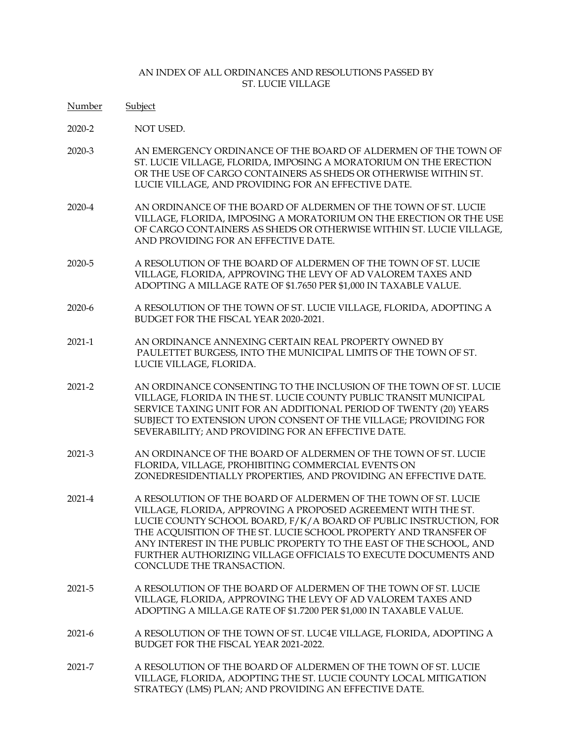- Number Subject
- 2020-2 NOT USED.
- 2020-3 AN EMERGENCY ORDINANCE OF THE BOARD OF ALDERMEN OF THE TOWN OF ST. LUCIE VILLAGE, FLORIDA, IMPOSING A MORATORIUM ON THE ERECTION OR THE USE OF CARGO CONTAINERS AS SHEDS OR OTHERWISE WITHIN ST. LUCIE VILLAGE, AND PROVIDING FOR AN EFFECTIVE DATE.
- 2020-4 AN ORDINANCE OF THE BOARD OF ALDERMEN OF THE TOWN OF ST. LUCIE VILLAGE, FLORIDA, IMPOSING A MORATORIUM ON THE ERECTION OR THE USE OF CARGO CONTAINERS AS SHEDS OR OTHERWISE WITHIN ST. LUCIE VILLAGE, AND PROVIDING FOR AN EFFECTIVE DATE.
- 2020-5 A RESOLUTION OF THE BOARD OF ALDERMEN OF THE TOWN OF ST. LUCIE VILLAGE, FLORIDA, APPROVING THE LEVY OF AD VALOREM TAXES AND ADOPTING A MILLAGE RATE OF \$1.7650 PER \$1,000 IN TAXABLE VALUE.
- 2020-6 A RESOLUTION OF THE TOWN OF ST. LUCIE VILLAGE, FLORIDA, ADOPTING A BUDGET FOR THE FISCAL YEAR 2020-2021.
- 2021-1 AN ORDINANCE ANNEXING CERTAIN REAL PROPERTY OWNED BY PAULETTET BURGESS, INTO THE MUNICIPAL LIMITS OF THE TOWN OF ST. LUCIE VILLAGE, FLORIDA.
- 2021-2 AN ORDINANCE CONSENTING TO THE INCLUSION OF THE TOWN OF ST. LUCIE VILLAGE, FLORIDA IN THE ST. LUCIE COUNTY PUBLIC TRANSIT MUNICIPAL SERVICE TAXING UNIT FOR AN ADDITIONAL PERIOD OF TWENTY (20) YEARS SUBJECT TO EXTENSION UPON CONSENT OF THE VILLAGE; PROVIDING FOR SEVERABILITY; AND PROVIDING FOR AN EFFECTIVE DATE.
- 2021-3 AN ORDINANCE OF THE BOARD OF ALDERMEN OF THE TOWN OF ST. LUCIE FLORIDA, VILLAGE, PROHIBITING COMMERCIAL EVENTS ON ZONEDRESIDENTIALLY PROPERTIES, AND PROVIDING AN EFFECTIVE DATE.
- 2021-4 A RESOLUTION OF THE BOARD OF ALDERMEN OF THE TOWN OF ST. LUCIE VILLAGE, FLORIDA, APPROVING A PROPOSED AGREEMENT WITH THE ST. LUCIE COUNTY SCHOOL BOARD, F/K/A BOARD OF PUBLIC INSTRUCTION, FOR THE ACQUISITION OF THE ST. LUCIE SCHOOL PROPERTY AND TRANSFER OF ANY INTEREST IN THE PUBLIC PROPERTY TO THE EAST OF THE SCHOOL, AND FURTHER AUTHORIZING VILLAGE OFFICIALS TO EXECUTE DOCUMENTS AND CONCLUDE THE TRANSACTION.
- 2021-5 A RESOLUTION OF THE BOARD OF ALDERMEN OF THE TOWN OF ST. LUCIE VILLAGE, FLORIDA, APPROVING THE LEVY OF AD VALOREM TAXES AND ADOPTING A MILLA.GE RATE OF \$1.7200 PER \$1,000 IN TAXABLE VALUE.
- 2021-6 A RESOLUTION OF THE TOWN OF ST. LUC4E VILLAGE, FLORIDA, ADOPTING A BUDGET FOR THE FISCAL YEAR 2021-2022.
- 2021-7 A RESOLUTION OF THE BOARD OF ALDERMEN OF THE TOWN OF ST. LUCIE VILLAGE, FLORIDA, ADOPTING THE ST. LUCIE COUNTY LOCAL MITIGATION STRATEGY (LMS) PLAN; AND PROVIDING AN EFFECTIVE DATE.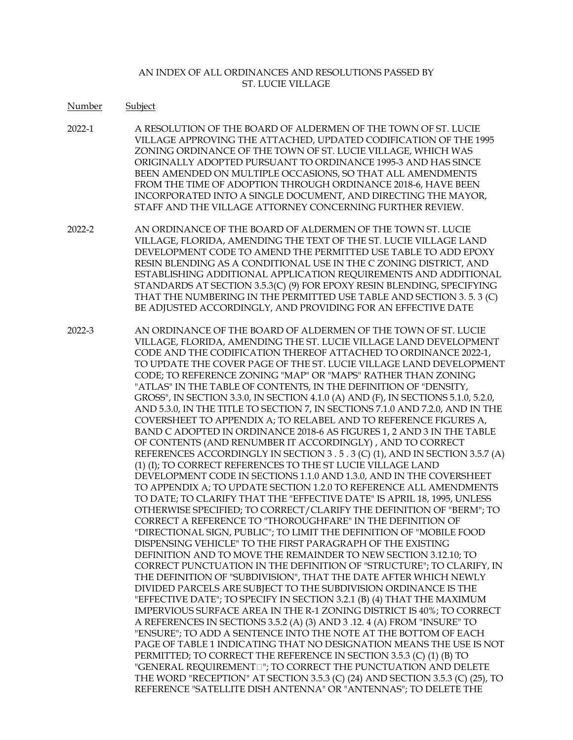- Number Subject
- 2022-1 A RESOLUTION OF THE BOARD OF ALDERMEN OF THE TOWN OF ST. LUCIE VILLAGE APPROVING THE ATTACHED, UPDATED CODIFICATION OF THE 1995 ZONING ORDINANCE OF THE TOWN OF ST. LUCIE VILLAGE, WHICH WAS ORIGINALLY ADOPTED PURSUANT TO ORDINANCE 1995-3 AND HAS SINCE BEEN AMENDED ON MULTIPLE OCCASIONS, SO THAT ALL AMENDMENTS FROM THE TIME OF ADOPTION THROUGH ORDINANCE 2018-6, HAVE BEEN INCORPORATED INTO A SINGLE DOCUMENT, AND DIRECTING THE MAYOR, STAFF AND THE VILLAGE ATTORNEY CONCERNING FURTHER REVIEW.
- 2022-2 AN ORDINANCE OF THE BOARD OF ALDERMEN OF THE TOWN ST. LUCIE VILLAGE, FLORIDA, AMENDING THE TEXT OF THE ST. LUCIE VILLAGE LAND DEVELOPMENT CODE TO AMEND THE PERMITTED USE TABLE TO ADD EPOXY RESIN BLENDING AS A CONDITIONAL USE IN THE C ZONING DISTRICT, AND ESTABLISHING ADDITIONAL APPLICATION REQUIREMENTS AND ADDITIONAL STANDARDS AT SECTION 3.5.3(C) (9) FOR EPOXY RESIN BLENDING, SPECIFYING THAT THE NUMBERING IN THE PERMITTED USE TABLE AND SECTION 3. 5. 3 (C) BE ADJUSTED ACCORDINGLY, AND PROVIDING FOR AN EFFECTIVE DATE
- 2022-3 AN ORDINANCE OF THE BOARD OF ALDERMEN OF THE TOWN OF ST. LUCIE VILLAGE, FLORIDA, AMENDING THE ST. LUCIE VILLAGE LAND DEVELOPMENT CODE AND THE CODIFICATION THEREOF ATTACHED TO ORDINANCE 2022-1, TO UPDATE THE COVER PAGE OF THE ST. LUCIE VILLAGE LAND DEVELOPMENT CODE; TO REFERENCE ZONING "MAP" OR "MAPS" RATHER THAN ZONING "ATLAS" IN THE TABLE OF CONTENTS, IN THE DEFINITION OF "DENSITY, GROSS", IN SECTION 3.3.0, IN SECTION 4.1.0 (A) AND (F), IN SECTIONS 5.1.0, 5.2.0, AND 5.3.0, IN THE TITLE TO SECTION 7, IN SECTIONS 7.1.0 AND 7.2.0, AND IN THE COVERSHEET TO APPENDIX A; TO RELABEL AND TO REFERENCE FIGURES A, BAND C ADOPTED IN ORDINANCE 2018-6 AS FIGURES 1, 2 AND 3 IN THE TABLE OF CONTENTS (AND RENUMBER IT ACCORDINGLY) , AND TO CORRECT REFERENCES ACCORDINGLY IN SECTION 3 . 5 . 3 (C) (1), AND IN SECTION 3.5.7 (A) (1) (I); TO CORRECT REFERENCES TO THE ST LUCIE VILLAGE LAND DEVELOPMENT CODE IN SECTIONS 1.1.0 AND 1.3.0, AND IN THE COVERSHEET TO APPENDIX A; TO UPDATE SECTION 1.2.0 TO REFERENCE ALL AMENDMENTS TO DATE; TO CLARIFY THAT THE "EFFECTIVE DATE" IS APRIL 18, 1995, UNLESS OTHERWISE SPECIFIED; TO CORRECT/CLARIFY THE DEFINITION OF "BERM"; TO CORRECT A REFERENCE TO "THOROUGHFARE" IN THE DEFINITION OF "DIRECTIONAL SIGN, PUBLIC"; TO LIMIT THE DEFINITION OF "MOBILE FOOD DISPENSING VEHICLE" TO THE FIRST PARAGRAPH OF THE EXISTING DEFINITION AND TO MOVE THE REMAINDER TO NEW SECTION 3.12.10; TO CORRECT PUNCTUATION IN THE DEFINITION OF "STRUCTURE"; TO CLARIFY, IN THE DEFINITION OF "SUBDIVISION", THAT THE DATE AFTER WHICH NEWLY DIVIDED PARCELS ARE SUBJECT TO THE SUBDIVISION ORDINANCE IS THE "EFFECTIVE DATE"; TO SPECIFY IN SECTION 3.2.1 (B) (4) THAT THE MAXIMUM IMPERVIOUS SURFACE AREA IN THE R-1 ZONING DISTRICT IS 40%; TO CORRECT A REFERENCES IN SECTIONS 3.5.2 (A) (3) AND 3 .12. 4 (A) FROM "INSURE" TO "ENSURE"; TO ADD A SENTENCE INTO THE NOTE AT THE BOTTOM OF EACH PAGE OF TABLE 1 INDICATING THAT NO DESIGNATION MEANS THE USE IS NOT PERMITTED; TO CORRECT THE REFERENCE IN SECTION 3.5.3 (C) (1) (B) TO "GENERAL REQUIREMENT<sup>"</sup>; TO CORRECT THE PUNCTUATION AND DELETE THE WORD "RECEPTION" AT SECTION 3.5.3 (C) (24) AND SECTION 3.5.3 (C) (25), TO REFERENCE "SATELLITE DISH ANTENNA" OR "ANTENNAS"; TO DELETE THE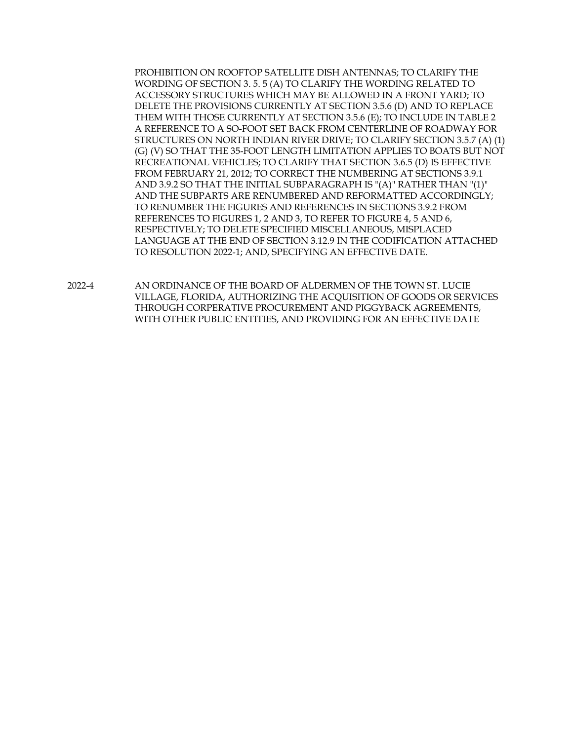PROHIBITION ON ROOFTOP SATELLITE DISH ANTENNAS; TO CLARIFY THE WORDING OF SECTION 3. 5. 5 (A) TO CLARIFY THE WORDING RELATED TO ACCESSORY STRUCTURES WHICH MAY BE ALLOWED IN A FRONT YARD; TO DELETE THE PROVISIONS CURRENTLY AT SECTION 3.5.6 (D) AND TO REPLACE THEM WITH THOSE CURRENTLY AT SECTION 3.5.6 (E); TO INCLUDE IN TABLE 2 A REFERENCE TO A SO-FOOT SET BACK FROM CENTERLINE OF ROADWAY FOR STRUCTURES ON NORTH INDIAN RIVER DRIVE; TO CLARIFY SECTION 3.5.7 (A) (1) (G) (V) SO THAT THE 35-FOOT LENGTH LIMITATION APPLIES TO BOATS BUT NOT RECREATIONAL VEHICLES; TO CLARIFY THAT SECTION 3.6.5 (D) IS EFFECTIVE FROM FEBRUARY 21, 2012; TO CORRECT THE NUMBERING AT SECTIONS 3.9.1 AND 3.9.2 SO THAT THE INITIAL SUBPARAGRAPH IS "(A)" RATHER THAN "(1)" AND THE SUBPARTS ARE RENUMBERED AND REFORMATTED ACCORDINGLY; TO RENUMBER THE FIGURES AND REFERENCES IN SECTIONS 3.9.2 FROM REFERENCES TO FIGURES 1, 2 AND 3, TO REFER TO FIGURE 4, 5 AND 6, RESPECTIVELY; TO DELETE SPECIFIED MISCELLANEOUS, MISPLACED LANGUAGE AT THE END OF SECTION 3.12.9 IN THE CODIFICATION ATTACHED TO RESOLUTION 2022-1; AND, SPECIFYING AN EFFECTIVE DATE.

2022-4 AN ORDINANCE OF THE BOARD OF ALDERMEN OF THE TOWN ST. LUCIE VILLAGE, FLORIDA, AUTHORIZING THE ACQUISITION OF GOODS OR SERVICES THROUGH CORPERATIVE PROCUREMENT AND PIGGYBACK AGREEMENTS, WITH OTHER PUBLIC ENTITIES, AND PROVIDING FOR AN EFFECTIVE DATE